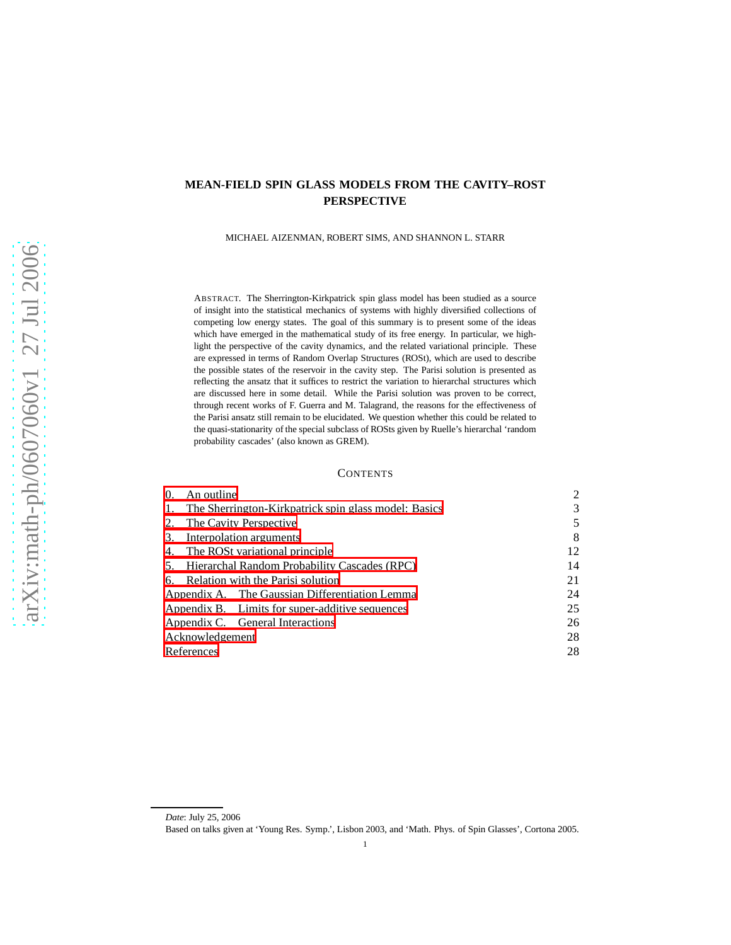# **MEAN-FIELD SPIN GLASS MODELS FROM THE CAVITY–ROST PERSPECTIVE**

MICHAEL AIZENMAN, ROBERT SIMS, AND SHANNON L. STARR

ABSTRACT. The Sherrington-Kirkpatrick spin glass model has been studied as a source of insight into the statistical mechanics of systems with highly diversified collections of competing low energy states. The goal of this summary is to present some of the ideas which have emerged in the mathematical study of its free energy. In particular, we highlight the perspective of the cavity dynamics, and the related variational principle. These are expressed in terms of Random Overlap Structures (ROSt), which are used to describe the possible states of the reservoir in the cavity step. The Parisi solution is presented as reflecting the ansatz that it suffices to restrict the variation to hierarchal structures which are discussed here in some detail. While the Parisi solution was proven to be correct, through recent works of F. Guerra and M. Talagrand, the reasons for the effectiveness of the Parisi ansatz still remain to be elucidated. We question whether this could be related to the quasi-stationarity of the special subclass of ROSts given by Ruelle's hierarchal 'random probability cascades' (also known as GREM).

# **CONTENTS**

| 0.              | An outline                                           |                                                 | 2  |  |  |
|-----------------|------------------------------------------------------|-------------------------------------------------|----|--|--|
| 1.              | The Sherrington-Kirkpatrick spin glass model: Basics |                                                 |    |  |  |
| 2.              | The Cavity Perspective                               |                                                 |    |  |  |
| 3.              | Interpolation arguments                              |                                                 |    |  |  |
|                 | 4. The ROSt variational principle                    | 12                                              |    |  |  |
| 5.              | Hierarchal Random Probability Cascades (RPC)         | 14                                              |    |  |  |
|                 | 6. Relation with the Parisi solution                 | 21                                              |    |  |  |
|                 |                                                      | Appendix A. The Gaussian Differentiation Lemma  | 24 |  |  |
|                 |                                                      | Appendix B. Limits for super-additive sequences | 25 |  |  |
|                 |                                                      | Appendix C. General Interactions                | 26 |  |  |
| Acknowledgement | 28                                                   |                                                 |    |  |  |
| References      | 28                                                   |                                                 |    |  |  |
|                 |                                                      |                                                 |    |  |  |

*Date*: July 25, 2006

Based on talks given at 'Young Res. Symp.', Lisbon 2003, and 'Math. Phys. of Spin Glasses', Cortona 2005.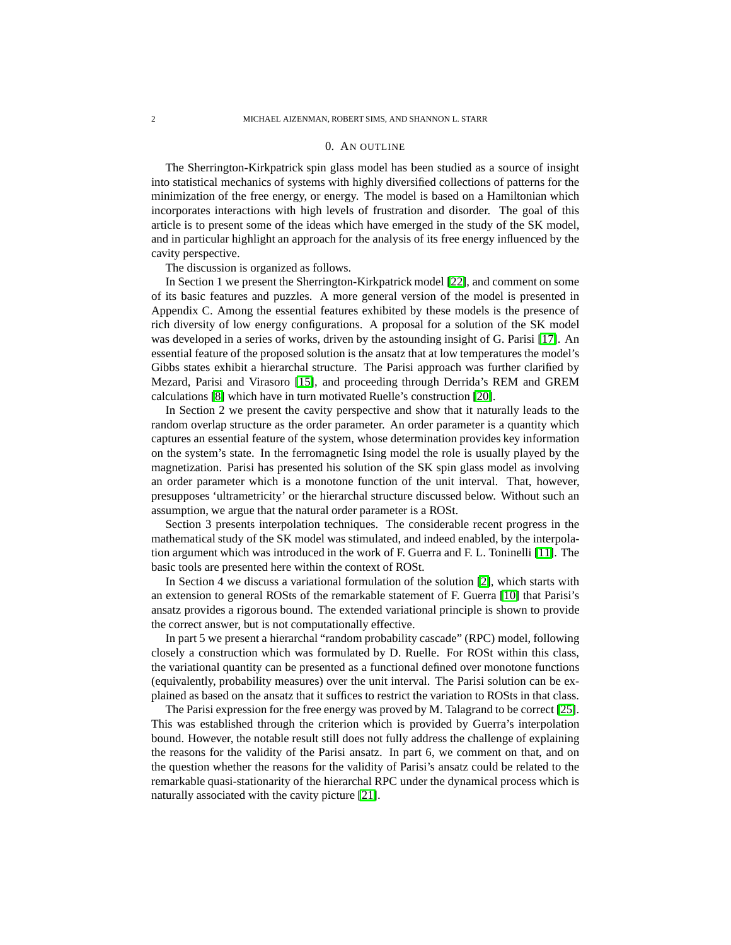#### 0. AN OUTLINE

<span id="page-1-0"></span>The Sherrington-Kirkpatrick spin glass model has been studied as a source of insight into statistical mechanics of systems with highly diversified collections of patterns for the minimization of the free energy, or energy. The model is based on a Hamiltonian which incorporates interactions with high levels of frustration and disorder. The goal of this article is to present some of the ideas which have emerged in the study of the SK model, and in particular highlight an approach for the analysis of its free energy influenced by the cavity perspective.

The discussion is organized as follows.

In Section 1 we present the Sherrington-Kirkpatrick model [\[22\]](#page-28-0), and comment on some of its basic features and puzzles. A more general version of the model is presented in Appendix C. Among the essential features exhibited by these models is the presence of rich diversity of low energy configurations. A proposal for a solution of the SK model was developed in a series of works, driven by the astounding insight of G. Parisi [\[17\]](#page-27-2). An essential feature of the proposed solution is the ansatz that at low temperatures the model's Gibbs states exhibit a hierarchal structure. The Parisi approach was further clarified by Mezard, Parisi and Virasoro [\[15\]](#page-27-3), and proceeding through Derrida's REM and GREM calculations [\[8\]](#page-27-4) which have in turn motivated Ruelle's construction [\[20\]](#page-27-5).

In Section 2 we present the cavity perspective and show that it naturally leads to the random overlap structure as the order parameter. An order parameter is a quantity which captures an essential feature of the system, whose determination provides key information on the system's state. In the ferromagnetic Ising model the role is usually played by the magnetization. Parisi has presented his solution of the SK spin glass model as involving an order parameter which is a monotone function of the unit interval. That, however, presupposes 'ultrametricity' or the hierarchal structure discussed below. Without such an assumption, we argue that the natural order parameter is a ROSt.

Section 3 presents interpolation techniques. The considerable recent progress in the mathematical study of the SK model was stimulated, and indeed enabled, by the interpolation argument which was introduced in the work of F. Guerra and F. L. Toninelli [\[11\]](#page-27-6). The basic tools are presented here within the context of ROSt.

In Section 4 we discuss a variational formulation of the solution [\[2\]](#page-27-7), which starts with an extension to general ROSts of the remarkable statement of F. Guerra [\[10\]](#page-27-8) that Parisi's ansatz provides a rigorous bound. The extended variational principle is shown to provide the correct answer, but is not computationally effective.

In part 5 we present a hierarchal "random probability cascade" (RPC) model, following closely a construction which was formulated by D. Ruelle. For ROSt within this class, the variational quantity can be presented as a functional defined over monotone functions (equivalently, probability measures) over the unit interval. The Parisi solution can be explained as based on the ansatz that it suffices to restrict the variation to ROSts in that class.

The Parisi expression for the free energy was proved by M. Talagrand to be correct [\[25\]](#page-28-1). This was established through the criterion which is provided by Guerra's interpolation bound. However, the notable result still does not fully address the challenge of explaining the reasons for the validity of the Parisi ansatz. In part 6, we comment on that, and on the question whether the reasons for the validity of Parisi's ansatz could be related to the remarkable quasi-stationarity of the hierarchal RPC under the dynamical process which is naturally associated with the cavity picture [\[21\]](#page-28-2).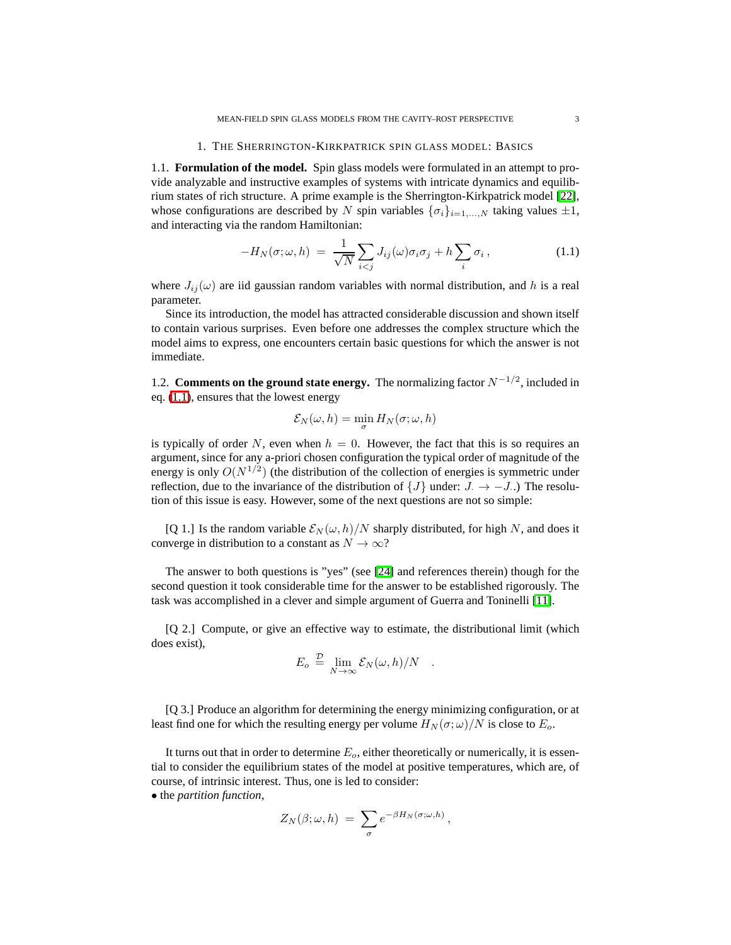#### 1. THE SHERRINGTON-KIRKPATRICK SPIN GLASS MODEL: BASICS

<span id="page-2-0"></span>1.1. **Formulation of the model.** Spin glass models were formulated in an attempt to provide analyzable and instructive examples of systems with intricate dynamics and equilibrium states of rich structure. A prime example is the Sherrington-Kirkpatrick model [\[22\]](#page-28-0), whose configurations are described by N spin variables  $\{\sigma_i\}_{i=1,\dots,N}$  taking values  $\pm 1$ , and interacting via the random Hamiltonian:

<span id="page-2-1"></span>
$$
-H_N(\sigma;\omega,h) = \frac{1}{\sqrt{N}} \sum_{i < j} J_{ij}(\omega) \sigma_i \sigma_j + h \sum_i \sigma_i \,, \tag{1.1}
$$

where  $J_{ij}(\omega)$  are iid gaussian random variables with normal distribution, and h is a real parameter.

Since its introduction, the model has attracted considerable discussion and shown itself to contain various surprises. Even before one addresses the complex structure which the model aims to express, one encounters certain basic questions for which the answer is not immediate.

1.2. **Comments on the ground state energy.** The normalizing factor  $N^{-1/2}$ , included in eq. [\(1.1\)](#page-2-1), ensures that the lowest energy

$$
\mathcal{E}_N(\omega,h)=\min_{\sigma}H_N(\sigma;\omega,h)
$$

is typically of order N, even when  $h = 0$ . However, the fact that this is so requires an argument, since for any a-priori chosen configuration the typical order of magnitude of the energy is only  $O(N^{1/2})$  (the distribution of the collection of energies is symmetric under reflection, due to the invariance of the distribution of  $\{J\}$  under:  $J \rightarrow -J$ .) The resolution of this issue is easy. However, some of the next questions are not so simple:

[Q 1.] Is the random variable  $\mathcal{E}_N(\omega, h)/N$  sharply distributed, for high N, and does it converge in distribution to a constant as  $N \to \infty$ ?

The answer to both questions is "yes" (see [\[24\]](#page-28-3) and references therein) though for the second question it took considerable time for the answer to be established rigorously. The task was accomplished in a clever and simple argument of Guerra and Toninelli [\[11\]](#page-27-6).

[Q 2.] Compute, or give an effective way to estimate, the distributional limit (which does exist),

$$
E_o \stackrel{\mathcal{D}}{=} \lim_{N \to \infty} \mathcal{E}_N(\omega, h)/N .
$$

[Q 3.] Produce an algorithm for determining the energy minimizing configuration, or at least find one for which the resulting energy per volume  $H_N(\sigma;\omega)/N$  is close to  $E_o$ .

It turns out that in order to determine  $E<sub>o</sub>$ , either theoretically or numerically, it is essential to consider the equilibrium states of the model at positive temperatures, which are, of course, of intrinsic interest. Thus, one is led to consider:

• the *partition function*,

$$
Z_N(\beta;\omega,h)\;=\; \sum_\sigma e^{-\beta H_N(\sigma;\omega,h)}\,,
$$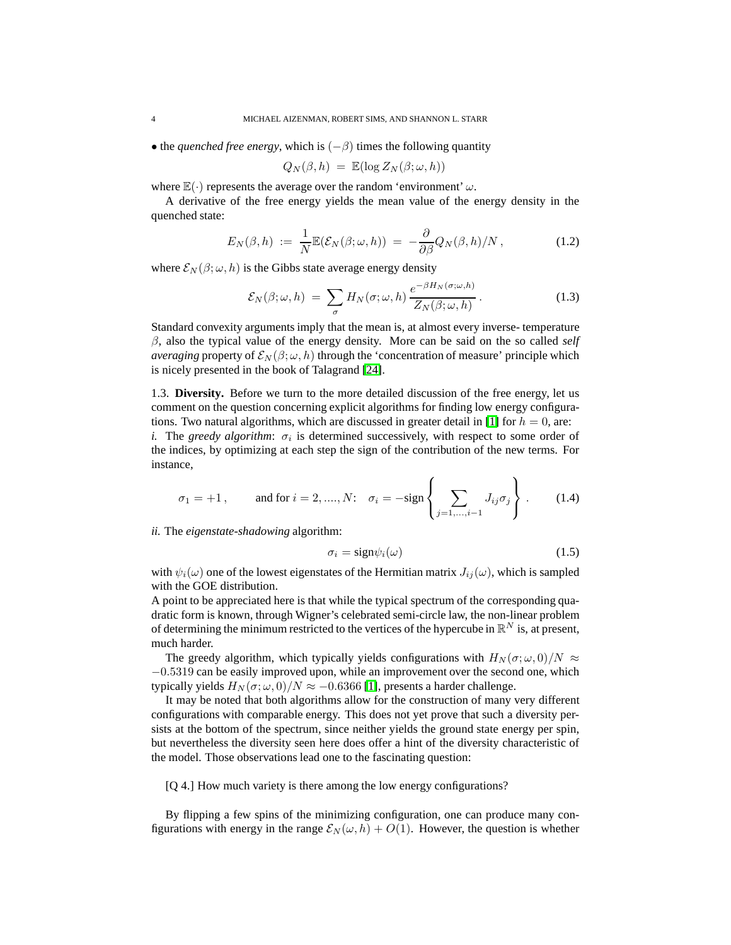• the *quenched free energy*, which is  $(-\beta)$  times the following quantity

$$
Q_N(\beta, h) = \mathbb{E}(\log Z_N(\beta; \omega, h))
$$

where  $\mathbb{E}(\cdot)$  represents the average over the random 'environment'  $\omega$ .

A derivative of the free energy yields the mean value of the energy density in the quenched state:

$$
E_N(\beta, h) := \frac{1}{N} \mathbb{E}(\mathcal{E}_N(\beta; \omega, h)) = -\frac{\partial}{\partial \beta} Q_N(\beta, h) / N, \qquad (1.2)
$$

where  $\mathcal{E}_N(\beta;\omega,h)$  is the Gibbs state average energy density

$$
\mathcal{E}_N(\beta;\omega,h) = \sum_{\sigma} H_N(\sigma;\omega,h) \frac{e^{-\beta H_N(\sigma;\omega,h)}}{Z_N(\beta;\omega,h)}.
$$
 (1.3)

Standard convexity arguments imply that the mean is, at almost every inverse- temperature  $\beta$ , also the typical value of the energy density. More can be said on the so called *self averaging* property of  $\mathcal{E}_N(\beta;\omega,h)$  through the 'concentration of measure' principle which is nicely presented in the book of Talagrand [\[24\]](#page-28-3).

1.3. **Diversity.** Before we turn to the more detailed discussion of the free energy, let us comment on the question concerning explicit algorithms for finding low energy configura-tions. Two natural algorithms, which are discussed in greater detail in [\[1\]](#page-27-9) for  $h = 0$ , are: *i*. The *greedy algorithm*:  $\sigma_i$  is determined successively, with respect to some order of the indices, by optimizing at each step the sign of the contribution of the new terms. For instance,

$$
\sigma_1 = +1
$$
, and for  $i = 2, ..., N$ :  $\sigma_i = -\text{sign}\left\{\sum_{j=1,...,i-1} J_{ij} \sigma_j\right\}$ . (1.4)

*ii.* The *eigenstate-shadowing* algorithm:

$$
\sigma_i = \text{sign}\psi_i(\omega) \tag{1.5}
$$

with  $\psi_i(\omega)$  one of the lowest eigenstates of the Hermitian matrix  $J_{ij}(\omega)$ , which is sampled with the GOE distribution.

A point to be appreciated here is that while the typical spectrum of the corresponding quadratic form is known, through Wigner's celebrated semi-circle law, the non-linear problem of determining the minimum restricted to the vertices of the hypercube in  $\mathbb{R}^N$  is, at present, much harder.

The greedy algorithm, which typically yields configurations with  $H_N(\sigma; \omega, 0)/N \approx$ −0.5319 can be easily improved upon, while an improvement over the second one, which typically yields  $H_N(\sigma;\omega,0)/N \approx -0.6366$  [\[1\]](#page-27-9), presents a harder challenge.

It may be noted that both algorithms allow for the construction of many very different configurations with comparable energy. This does not yet prove that such a diversity persists at the bottom of the spectrum, since neither yields the ground state energy per spin, but nevertheless the diversity seen here does offer a hint of the diversity characteristic of the model. Those observations lead one to the fascinating question:

[Q 4.] How much variety is there among the low energy configurations?

By flipping a few spins of the minimizing configuration, one can produce many configurations with energy in the range  $\mathcal{E}_N(\omega, h) + O(1)$ . However, the question is whether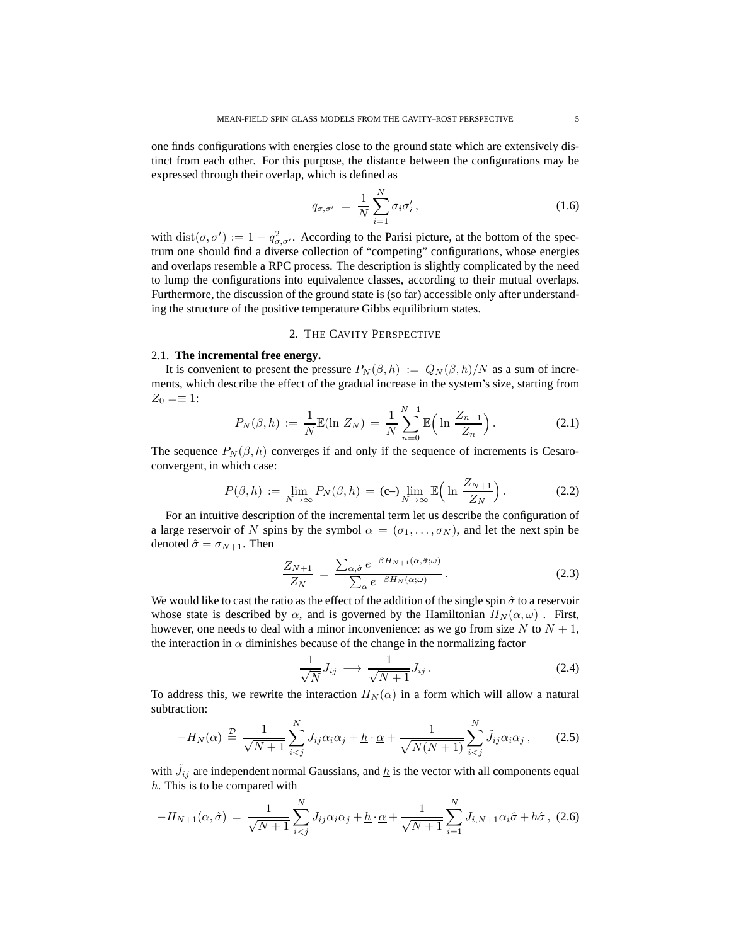one finds configurations with energies close to the ground state which are extensively distinct from each other. For this purpose, the distance between the configurations may be expressed through their overlap, which is defined as

$$
q_{\sigma,\sigma'} = \frac{1}{N} \sum_{i=1}^{N} \sigma_i \sigma'_i , \qquad (1.6)
$$

with  $dist(\sigma, \sigma') := 1 - q_{\sigma, \sigma'}^2$ . According to the Parisi picture, at the bottom of the spectrum one should find a diverse collection of "competing" configurations, whose energies and overlaps resemble a RPC process. The description is slightly complicated by the need to lump the configurations into equivalence classes, according to their mutual overlaps. Furthermore, the discussion of the ground state is (so far) accessible only after understanding the structure of the positive temperature Gibbs equilibrium states.

# 2. THE CAVITY PERSPECTIVE

# <span id="page-4-0"></span>2.1. **The incremental free energy.**

It is convenient to present the pressure  $P_N(\beta, h) := Q_N(\beta, h)/N$  as a sum of increments, which describe the effect of the gradual increase in the system's size, starting from  $Z_0 = \equiv 1$ :

$$
P_N(\beta, h) := \frac{1}{N} \mathbb{E}(\ln Z_N) = \frac{1}{N} \sum_{n=0}^{N-1} \mathbb{E}\Big(\ln \frac{Z_{n+1}}{Z_n}\Big). \tag{2.1}
$$

The sequence  $P_N(\beta, h)$  converges if and only if the sequence of increments is Cesaroconvergent, in which case:

$$
P(\beta, h) := \lim_{N \to \infty} P_N(\beta, h) = (c-) \lim_{N \to \infty} \mathbb{E}\Big(\ln \frac{Z_{N+1}}{Z_N}\Big). \tag{2.2}
$$

For an intuitive description of the incremental term let us describe the configuration of a large reservoir of N spins by the symbol  $\alpha = (\sigma_1, \ldots, \sigma_N)$ , and let the next spin be denoted  $\hat{\sigma} = \sigma_{N+1}$ . Then

$$
\frac{Z_{N+1}}{Z_N} = \frac{\sum_{\alpha,\hat{\sigma}} e^{-\beta H_{N+1}(\alpha,\hat{\sigma};\omega)}}{\sum_{\alpha} e^{-\beta H_N(\alpha;\omega)}}.
$$
\n(2.3)

We would like to cast the ratio as the effect of the addition of the single spin  $\hat{\sigma}$  to a reservoir whose state is described by  $\alpha$ , and is governed by the Hamiltonian  $H_N(\alpha, \omega)$ . First, however, one needs to deal with a minor inconvenience: as we go from size  $N$  to  $N + 1$ , the interaction in  $\alpha$  diminishes because of the change in the normalizing factor

$$
\frac{1}{\sqrt{N}}J_{ij} \longrightarrow \frac{1}{\sqrt{N+1}}J_{ij}.
$$
\n(2.4)

To address this, we rewrite the interaction  $H_N(\alpha)$  in a form which will allow a natural subtraction:

$$
-H_N(\alpha) \stackrel{\mathcal{D}}{=} \frac{1}{\sqrt{N+1}} \sum_{i < j}^N J_{ij} \alpha_i \alpha_j + \underline{h} \cdot \underline{\alpha} + \frac{1}{\sqrt{N(N+1)}} \sum_{i < j}^N \tilde{J}_{ij} \alpha_i \alpha_j \,,\tag{2.5}
$$

with  $\tilde{J}_{ij}$  are independent normal Gaussians, and  $\underline{h}$  is the vector with all components equal h. This is to be compared with

$$
-H_{N+1}(\alpha,\hat{\sigma}) = \frac{1}{\sqrt{N+1}} \sum_{i
$$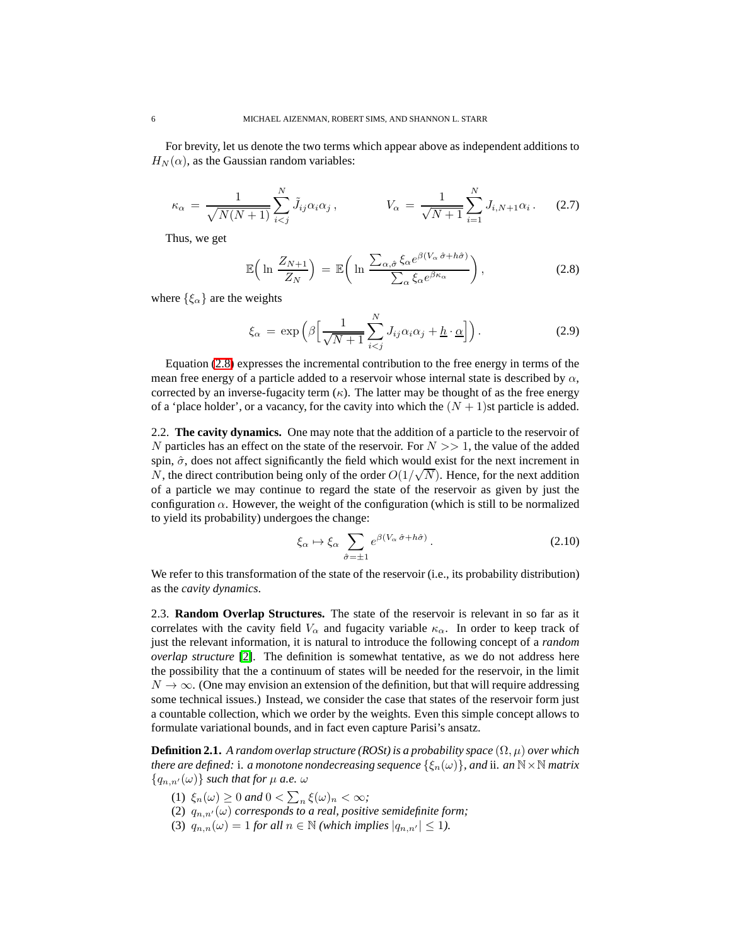For brevity, let us denote the two terms which appear above as independent additions to  $H_N(\alpha)$ , as the Gaussian random variables:

$$
\kappa_{\alpha} = \frac{1}{\sqrt{N(N+1)}} \sum_{i < j}^{N} \tilde{J}_{ij} \alpha_i \alpha_j \,, \qquad V_{\alpha} = \frac{1}{\sqrt{N+1}} \sum_{i=1}^{N} J_{i,N+1} \alpha_i \,. \tag{2.7}
$$

<span id="page-5-0"></span>Thus, we get

$$
\mathbb{E}\left(\ln\frac{Z_{N+1}}{Z_N}\right) = \mathbb{E}\left(\ln\frac{\sum_{\alpha,\hat{\sigma}}\xi_{\alpha}e^{\beta(V_{\alpha}\hat{\sigma}+h\hat{\sigma})}}{\sum_{\alpha}\xi_{\alpha}e^{\beta\kappa_{\alpha}}}\right),\tag{2.8}
$$

where  $\{\xi_{\alpha}\}\$ are the weights

$$
\xi_{\alpha} = \exp\left(\beta \left[\frac{1}{\sqrt{N+1}} \sum_{i < j}^{N} J_{ij} \alpha_i \alpha_j + \underline{h} \cdot \underline{\alpha}\right]\right). \tag{2.9}
$$

Equation [\(2.8\)](#page-5-0) expresses the incremental contribution to the free energy in terms of the mean free energy of a particle added to a reservoir whose internal state is described by  $\alpha$ , corrected by an inverse-fugacity term  $(\kappa)$ . The latter may be thought of as the free energy of a 'place holder', or a vacancy, for the cavity into which the  $(N + 1)$ st particle is added.

<span id="page-5-1"></span>2.2. **The cavity dynamics.** One may note that the addition of a particle to the reservoir of N particles has an effect on the state of the reservoir. For  $N \gg 1$ , the value of the added spin,  $\hat{\sigma}$ , does not affect significantly the field which would exist for the next increment in  $N$ , the direct contribution being only of the order  $O(1/\sqrt{N})$ . Hence, for the next addition of a particle we may continue to regard the state of the reservoir as given by just the configuration  $\alpha$ . However, the weight of the configuration (which is still to be normalized to yield its probability) undergoes the change:

$$
\xi_{\alpha} \mapsto \xi_{\alpha} \sum_{\hat{\sigma}=\pm 1} e^{\beta (V_{\alpha} \hat{\sigma} + h\hat{\sigma})}.
$$
 (2.10)

We refer to this transformation of the state of the reservoir (i.e., its probability distribution) as the *cavity dynamics*.

2.3. **Random Overlap Structures.** The state of the reservoir is relevant in so far as it correlates with the cavity field  $V_\alpha$  and fugacity variable  $\kappa_\alpha$ . In order to keep track of just the relevant information, it is natural to introduce the following concept of a *random overlap structure* [\[2\]](#page-27-7). The definition is somewhat tentative, as we do not address here the possibility that the a continuum of states will be needed for the reservoir, in the limit  $N \to \infty$ . (One may envision an extension of the definition, but that will require addressing some technical issues.) Instead, we consider the case that states of the reservoir form just a countable collection, which we order by the weights. Even this simple concept allows to formulate variational bounds, and in fact even capture Parisi's ansatz.

**Definition 2.1.** *A random overlap structure (ROSt) is a probability space*  $(\Omega, \mu)$  *over which there are defined:* i. *a monotone nondecreasing sequence*  $\{\xi_n(\omega)\}\$ *, and* ii. *an*  $\mathbb{N}\times\mathbb{N}$  *matrix*  ${q_{n,n'}(\omega)}$  *such that for*  $\mu$  *a.e.*  $\omega$ 

- (1)  $\xi_n(\omega) \ge 0$  and  $0 < \sum_n \xi(\omega)_n < \infty$ ;
- (2)  $q_{n,n'}(\omega)$  *corresponds to a real, positive semidefinite form;*
- (3)  $q_{n,n}(\omega) = 1$  *for all*  $n \in \mathbb{N}$  *(which implies*  $|q_{n,n'}| \leq 1$ *).*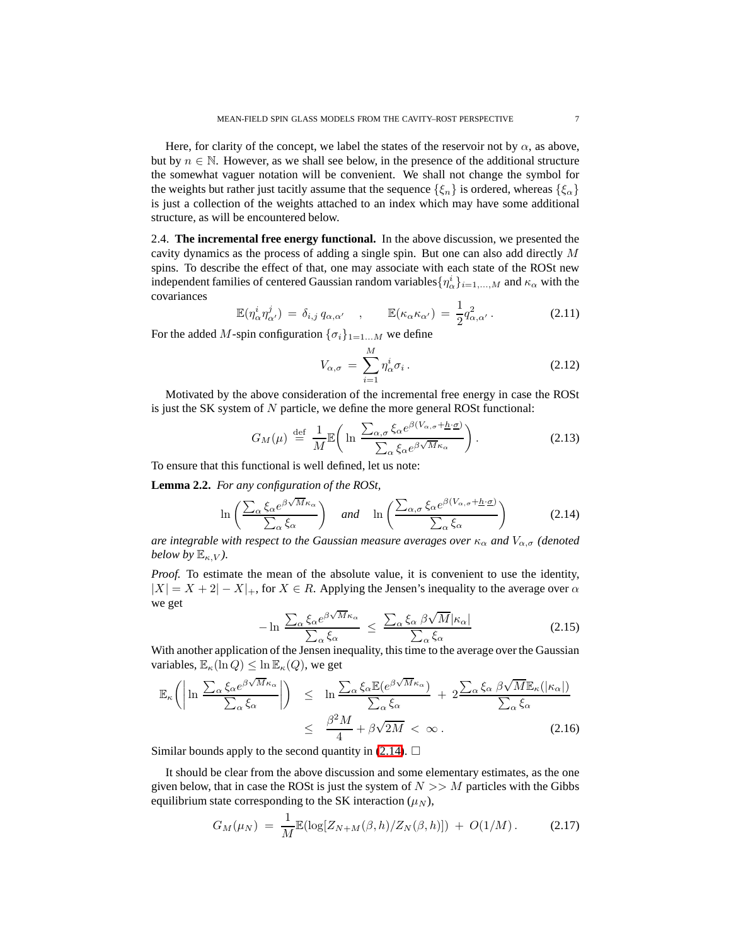Here, for clarity of the concept, we label the states of the reservoir not by  $\alpha$ , as above, but by  $n \in \mathbb{N}$ . However, as we shall see below, in the presence of the additional structure the somewhat vaguer notation will be convenient. We shall not change the symbol for the weights but rather just tacitly assume that the sequence  $\{\xi_n\}$  is ordered, whereas  $\{\xi_\alpha\}$ is just a collection of the weights attached to an index which may have some additional structure, as will be encountered below.

2.4. **The incremental free energy functional.** In the above discussion, we presented the cavity dynamics as the process of adding a single spin. But one can also add directly M spins. To describe the effect of that, one may associate with each state of the ROSt new independent families of centered Gaussian random variables $\{\eta^i_\alpha\}_{i=1,...,M}$  and  $\kappa_\alpha$  with the covariances

$$
\mathbb{E}(\eta_{\alpha}^{i}\eta_{\alpha'}^{j}) = \delta_{i,j} q_{\alpha,\alpha'} , \qquad \mathbb{E}(\kappa_{\alpha}\kappa_{\alpha'}) = \frac{1}{2}q_{\alpha,\alpha'}^{2} .
$$
 (2.11)

For the added M-spin configuration  $\{\sigma_i\}_{1=1...M}$  we define

$$
V_{\alpha,\sigma} = \sum_{i=1}^{M} \eta_{\alpha}^{i} \sigma_{i}.
$$
 (2.12)

Motivated by the above consideration of the incremental free energy in case the ROSt is just the SK system of  $N$  particle, we define the more general ROSt functional:

<span id="page-6-0"></span>
$$
G_M(\mu) \stackrel{\text{def}}{=} \frac{1}{M} \mathbb{E}\bigg(\ln \frac{\sum_{\alpha,\sigma} \xi_\alpha e^{\beta(V_{\alpha,\sigma} + \underline{h} \cdot \underline{\sigma})}}{\sum_{\alpha} \xi_\alpha e^{\beta \sqrt{M} \kappa_\alpha}}\bigg). \tag{2.13}
$$

To ensure that this functional is well defined, let us note:

**Lemma 2.2.** *For any configuration of the ROSt,*

$$
\ln\left(\frac{\sum_{\alpha}\xi_{\alpha}e^{\beta\sqrt{M}\kappa_{\alpha}}}{\sum_{\alpha}\xi_{\alpha}}\right) \quad \text{and} \quad \ln\left(\frac{\sum_{\alpha,\sigma}\xi_{\alpha}e^{\beta(V_{\alpha,\sigma}+\underline{h}\cdot\underline{\sigma})}}{\sum_{\alpha}\xi_{\alpha}}\right) \tag{2.14}
$$

*are integrable with respect to the Gaussian measure averages over*  $\kappa_{\alpha}$  *and*  $V_{\alpha,\sigma}$  *(denoted below by*  $\mathbb{E}_{\kappa,V}$ *).* 

*Proof.* To estimate the mean of the absolute value, it is convenient to use the identity,  $|X| = X + 2 - X|$ , for  $X \in R$ . Applying the Jensen's inequality to the average over  $\alpha$ we get

$$
-\ln \frac{\sum_{\alpha} \xi_{\alpha} e^{\beta \sqrt{M} \kappa_{\alpha}}}{\sum_{\alpha} \xi_{\alpha}} \le \frac{\sum_{\alpha} \xi_{\alpha} \beta \sqrt{M} |\kappa_{\alpha}|}{\sum_{\alpha} \xi_{\alpha}}
$$
(2.15)

 $\angle_{\alpha}$  so  $\angle_{\alpha}$  is  $\angle_{\alpha}$  so  $\angle_{\alpha}$  so  $\angle_{\alpha}$  so  $\angle_{\alpha}$  so the average over the Gaussian variables,  $\mathbb{E}_{\kappa}(\ln Q) \leq \ln \mathbb{E}_{\kappa}(Q)$ , we get

$$
\mathbb{E}_{\kappa}\left(\left|\ln \frac{\sum_{\alpha} \xi_{\alpha} e^{\beta \sqrt{M} \kappa_{\alpha}}}{\sum_{\alpha} \xi_{\alpha}}\right|\right) \leq \ln \frac{\sum_{\alpha} \xi_{\alpha} \mathbb{E}(e^{\beta \sqrt{M} \kappa_{\alpha}})}{\sum_{\alpha} \xi_{\alpha}} + 2 \frac{\sum_{\alpha} \xi_{\alpha} \beta \sqrt{M} \mathbb{E}_{\kappa}(|\kappa_{\alpha}|)}{\sum_{\alpha} \xi_{\alpha}} \leq \frac{\beta^{2} M}{4} + \beta \sqrt{2M} < \infty. \tag{2.16}
$$

Similar bounds apply to the second quantity in  $(2.14)$ .  $\Box$ 

It should be clear from the above discussion and some elementary estimates, as the one given below, that in case the ROSt is just the system of  $N \gg M$  particles with the Gibbs equilibrium state corresponding to the SK interaction  $(\mu_N)$ ,

$$
G_M(\mu_N) = \frac{1}{M} \mathbb{E}(\log[Z_{N+M}(\beta, h)/Z_N(\beta, h)]) + O(1/M). \tag{2.17}
$$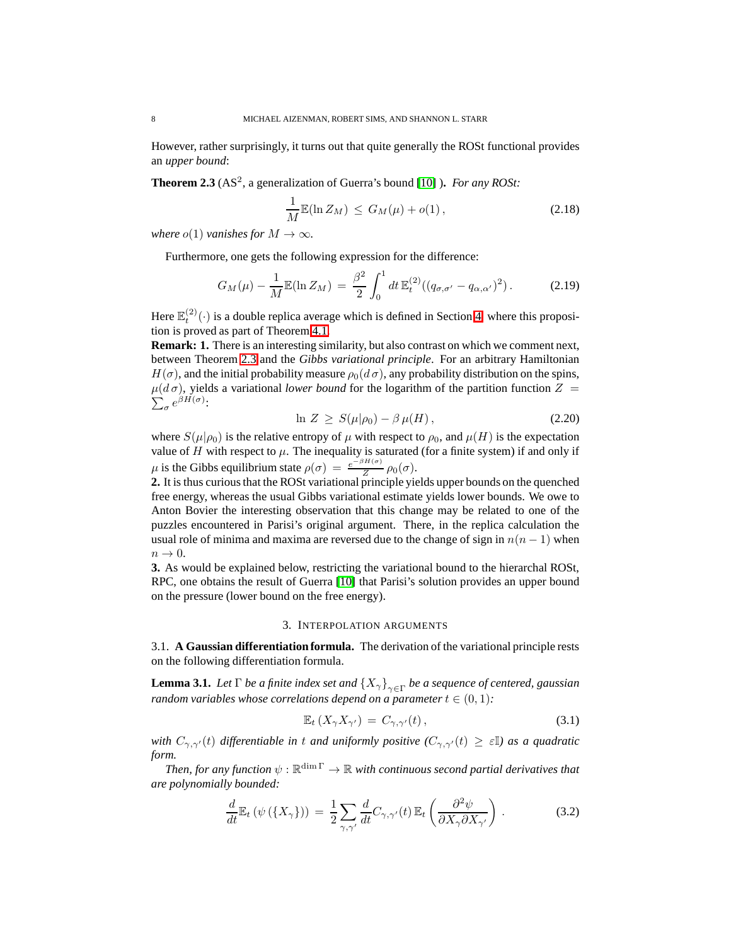<span id="page-7-1"></span>However, rather surprisingly, it turns out that quite generally the ROSt functional provides an *upper bound*:

**Theorem 2.3** (AS<sup>2</sup>, a generalization of Guerra's bound [\[10\]](#page-27-8) ). *For any ROSt:* 

$$
\frac{1}{M}\mathbb{E}(\ln Z_M) \le G_M(\mu) + o(1),\tag{2.18}
$$

*where*  $o(1)$  *vanishes for*  $M \to \infty$ *.* 

Furthermore, one gets the following expression for the difference:

$$
G_M(\mu) - \frac{1}{M} \mathbb{E}(\ln Z_M) = \frac{\beta^2}{2} \int_0^1 dt \, \mathbb{E}_t^{(2)}((q_{\sigma,\sigma'} - q_{\alpha,\alpha'})^2) \,. \tag{2.19}
$$

Here  $\mathbb{E}_t^{(2)}(\cdot)$  is a double replica average which is defined in Section [4,](#page-11-0) where this proposition is proved as part of Theorem [4.1.](#page-11-1)

**Remark: 1.** There is an interesting similarity, but also contrast on which we comment next, between Theorem [2.3](#page-7-1) and the *Gibbs variational principle*. For an arbitrary Hamiltonian  $H(\sigma)$ , and the initial probability measure  $\rho_0(d\sigma)$ , any probability distribution on the spins,  $\mu(d\sigma)$ , yields a variational *lower bound* for the logarithm of the partition function  $Z =$  $\sum_{\sigma} e^{\beta H(\sigma)}$ :

$$
\ln Z \ge S(\mu|\rho_0) - \beta \mu(H), \qquad (2.20)
$$

where  $S(\mu|\rho_0)$  is the relative entropy of  $\mu$  with respect to  $\rho_0$ , and  $\mu(H)$  is the expectation value of  $H$  with respect to  $\mu$ . The inequality is saturated (for a finite system) if and only if  $\mu$  is the Gibbs equilibrium state  $\rho(\sigma) = \frac{e^{-\beta H(\sigma)}}{Z}$  $\frac{\overline{a}}{Z}$   $\rho_0(\sigma)$ .

**2.** It is thus curious that the ROSt variational principle yields upper bounds on the quenched free energy, whereas the usual Gibbs variational estimate yields lower bounds. We owe to Anton Bovier the interesting observation that this change may be related to one of the puzzles encountered in Parisi's original argument. There, in the replica calculation the usual role of minima and maxima are reversed due to the change of sign in  $n(n - 1)$  when  $n \to 0$ .

**3.** As would be explained below, restricting the variational bound to the hierarchal ROSt, RPC, one obtains the result of Guerra [\[10\]](#page-27-8) that Parisi's solution provides an upper bound on the pressure (lower bound on the free energy).

#### 3. INTERPOLATION ARGUMENTS

<span id="page-7-2"></span><span id="page-7-0"></span>3.1. **A Gaussian differentiation formula.** The derivation of the variational principle rests on the following differentiation formula.

**Lemma 3.1.** *Let*  $\Gamma$  *be a finite index set and*  $\{X_{\gamma}\}_{\gamma \in \Gamma}$  *be a sequence of centered, gaussian random variables whose correlations depend on a parameter*  $t \in (0, 1)$ *:* 

$$
\mathbb{E}_t\left(X_\gamma X_{\gamma'}\right) = C_{\gamma,\gamma'}(t)\,,\tag{3.1}
$$

*with*  $C_{\gamma,\gamma'}(t)$  *differentiable in* t *and uniformly positive*  $(C_{\gamma,\gamma'}(t) \geq \varepsilon \mathbb{I})$  *as a quadratic form.*

Then, for any function  $\psi:\mathbb{R}^{\dim \Gamma}\to \mathbb{R}$  with continuous second partial derivatives that *are polynomially bounded:*

<span id="page-7-3"></span>
$$
\frac{d}{dt}\mathbb{E}_t\left(\psi\left(\{X_\gamma\}\right)\right) = \frac{1}{2}\sum_{\gamma,\gamma'}\frac{d}{dt}C_{\gamma,\gamma'}(t)\,\mathbb{E}_t\left(\frac{\partial^2\psi}{\partial X_\gamma\partial X_{\gamma'}}\right). \tag{3.2}
$$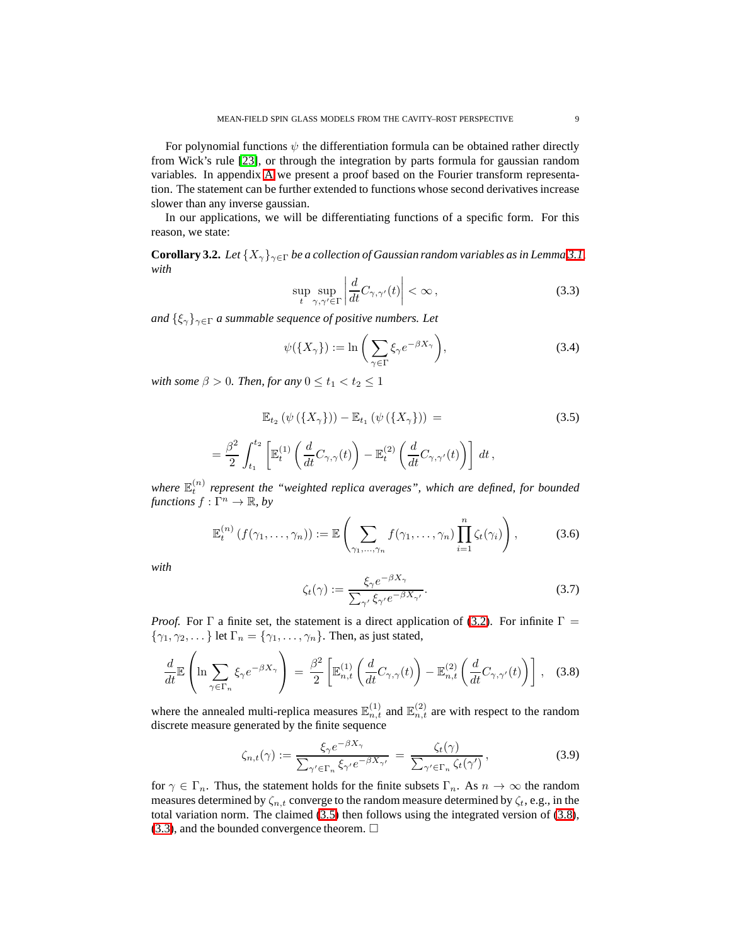For polynomial functions  $\psi$  the differentiation formula can be obtained rather directly from Wick's rule [\[23\]](#page-28-4), or through the integration by parts formula for gaussian random variables. In appendix [A](#page-23-0) we present a proof based on the Fourier transform representation. The statement can be further extended to functions whose second derivatives increase slower than any inverse gaussian.

<span id="page-8-4"></span>In our applications, we will be differentiating functions of a specific form. For this reason, we state:

<span id="page-8-2"></span>**Corollary 3.2.** *Let*  $\{X_{\gamma}\}_{\gamma \in \Gamma}$  *be a collection of Gaussian random variables as in Lemma* [3.1,](#page-7-2) *with*

$$
\sup_{t} \sup_{\gamma,\gamma' \in \Gamma} \left| \frac{d}{dt} C_{\gamma,\gamma'}(t) \right| < \infty \,, \tag{3.3}
$$

*and*  $\{\xi_{\gamma}\}_{\gamma \in \Gamma}$  *a summable sequence of positive numbers. Let* 

$$
\psi(\lbrace X_{\gamma} \rbrace) := \ln \left( \sum_{\gamma \in \Gamma} \xi_{\gamma} e^{-\beta X_{\gamma}} \right),\tag{3.4}
$$

<span id="page-8-0"></span>*with some*  $\beta > 0$ *. Then, for any*  $0 \le t_1 < t_2 \le 1$ 

=

$$
\mathbb{E}_{t_2} (\psi (\{X_{\gamma}\})) - \mathbb{E}_{t_1} (\psi (\{X_{\gamma}\})) =
$$
\n
$$
\frac{\beta^2}{2} \int_{t_1}^{t_2} \left[ \mathbb{E}_t^{(1)} \left( \frac{d}{dt} C_{\gamma, \gamma}(t) \right) - \mathbb{E}_t^{(2)} \left( \frac{d}{dt} C_{\gamma, \gamma'}(t) \right) \right] dt,
$$
\n(3.5)

where  $\mathbb{E}_t^{(n)}$  represent the "weighted replica averages", which are defined, for bounded *functions*  $f : \Gamma^n \to \mathbb{R}$ *, by* 

$$
\mathbb{E}_t^{(n)}\left(f(\gamma_1,\ldots,\gamma_n)\right) := \mathbb{E}\left(\sum_{\gamma_1,\ldots,\gamma_n} f(\gamma_1,\ldots,\gamma_n) \prod_{i=1}^n \zeta_i(\gamma_i)\right),\tag{3.6}
$$

<span id="page-8-3"></span>*with*

<span id="page-8-1"></span>
$$
\zeta_t(\gamma) := \frac{\xi_\gamma e^{-\beta X_\gamma}}{\sum_{\gamma'} \xi_{\gamma'} e^{-\beta X_{\gamma'}}}. \tag{3.7}
$$

*Proof.* For  $\Gamma$  a finite set, the statement is a direct application of [\(3.2\)](#page-7-3). For infinite  $\Gamma$  =  $\{\gamma_1, \gamma_2, \dots\}$  let  $\Gamma_n = \{\gamma_1, \dots, \gamma_n\}$ . Then, as just stated,

$$
\frac{d}{dt} \mathbb{E}\left(\ln \sum_{\gamma \in \Gamma_n} \xi_{\gamma} e^{-\beta X_{\gamma}}\right) = \frac{\beta^2}{2} \left[\mathbb{E}_{n,t}^{(1)}\left(\frac{d}{dt} C_{\gamma,\gamma}(t)\right) - \mathbb{E}_{n,t}^{(2)}\left(\frac{d}{dt} C_{\gamma,\gamma'}(t)\right)\right],
$$
 (3.8)

where the annealed multi-replica measures  $\mathbb{E}_{n,t}^{(1)}$  and  $\mathbb{E}_{n,t}^{(2)}$  are with respect to the random discrete measure generated by the finite sequence

$$
\zeta_{n,t}(\gamma) := \frac{\xi_{\gamma} e^{-\beta X_{\gamma}}}{\sum_{\gamma' \in \Gamma_n} \xi_{\gamma'} e^{-\beta X_{\gamma'}}} = \frac{\zeta_t(\gamma)}{\sum_{\gamma' \in \Gamma_n} \zeta_t(\gamma')},
$$
\n(3.9)

for  $\gamma \in \Gamma_n$ . Thus, the statement holds for the finite subsets  $\Gamma_n$ . As  $n \to \infty$  the random measures determined by  $\zeta_{n,t}$  converge to the random measure determined by  $\zeta_t$ , e.g., in the total variation norm. The claimed [\(3.5\)](#page-8-0) then follows using the integrated version of [\(3.8\)](#page-8-1),  $(3.3)$ , and the bounded convergence theorem.  $\Box$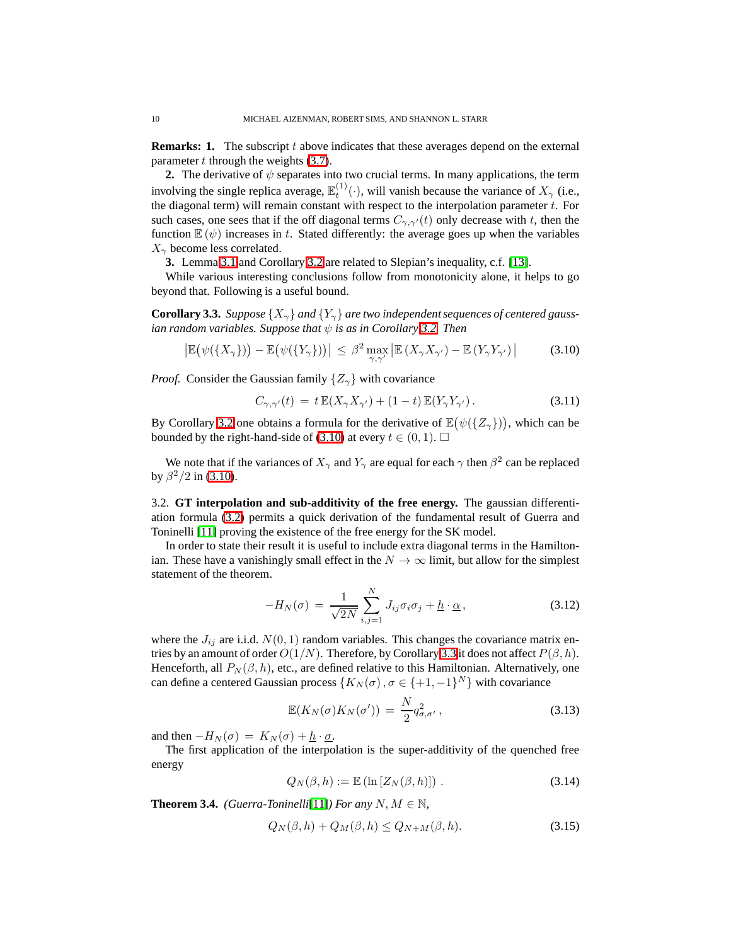**Remarks: 1.** The subscript t above indicates that these averages depend on the external parameter  $t$  through the weights  $(3.7)$ .

**2.** The derivative of  $\psi$  separates into two crucial terms. In many applications, the term involving the single replica average,  $\mathbb{E}_t^{(1)}(\cdot)$ , will vanish because the variance of  $X_\gamma$  (i.e., the diagonal term) will remain constant with respect to the interpolation parameter  $t$ . For such cases, one sees that if the off diagonal terms  $C_{\gamma,\gamma'}(t)$  only decrease with t, then the function  $\mathbb{E}(\psi)$  increases in t. Stated differently: the average goes up when the variables  $X_{\gamma}$  become less correlated.

**3.** Lemma [3.1](#page-7-2) and Corollary [3.2](#page-8-4) are related to Slepian's inequality, c.f. [\[13\]](#page-27-10).

<span id="page-9-1"></span>While various interesting conclusions follow from monotonicity alone, it helps to go beyond that. Following is a useful bound.

**Corollary 3.3.** *Suppose*  $\{X_{\gamma}\}\$ and  $\{Y_{\gamma}\}\$ are two independent sequences of centered gauss*ian random variables. Suppose that*  $\psi$  *is as in Corollary* [3.2.](#page-8-4) *Then* 

$$
\left| \mathbb{E} \big( \psi(\{ X_{\gamma} \}) \big) - \mathbb{E} \big( \psi(\{ Y_{\gamma} \}) \big) \right| \leq \beta^2 \max_{\gamma, \gamma'} \left| \mathbb{E} \left( X_{\gamma} X_{\gamma'} \right) - \mathbb{E} \left( Y_{\gamma} Y_{\gamma'} \right) \right| \tag{3.10}
$$

*Proof.* Consider the Gaussian family  $\{Z_{\gamma}\}\$  with covariance

<span id="page-9-0"></span>
$$
C_{\gamma,\gamma'}(t) = t \mathbb{E}(X_{\gamma}X_{\gamma'}) + (1-t) \mathbb{E}(Y_{\gamma}Y_{\gamma'}).
$$
\n(3.11)

By Corollary [3.2](#page-8-4) one obtains a formula for the derivative of  $\mathbb{E}(\psi(\{Z_\gamma\}))$ , which can be bounded by the right-hand-side of [\(3.10\)](#page-9-0) at every  $t \in (0,1)$ .  $\Box$ 

We note that if the variances of  $X_{\gamma}$  and  $Y_{\gamma}$  are equal for each  $\gamma$  then  $\beta^2$  can be replaced by  $\beta^2/2$  in [\(3.10\)](#page-9-0).

3.2. **GT interpolation and sub-additivity of the free energy.** The gaussian differentiation formula [\(3.2\)](#page-7-3) permits a quick derivation of the fundamental result of Guerra and Toninelli [\[11\]](#page-27-6) proving the existence of the free energy for the SK model.

In order to state their result it is useful to include extra diagonal terms in the Hamiltonian. These have a vanishingly small effect in the  $N \to \infty$  limit, but allow for the simplest statement of the theorem.

$$
-H_N(\sigma) = \frac{1}{\sqrt{2N}} \sum_{i,j=1}^N J_{ij} \sigma_i \sigma_j + \underline{h} \cdot \underline{\alpha}, \qquad (3.12)
$$

where the  $J_{ij}$  are i.i.d.  $N(0, 1)$  random variables. This changes the covariance matrix entries by an amount of order  $O(1/N)$ . Therefore, by Corollary [3.3](#page-9-1) it does not affect  $P(\beta, h)$ . Henceforth, all  $P_N(\beta, h)$ , etc., are defined relative to this Hamiltonian. Alternatively, one can define a centered Gaussian process  $\{K_N(\sigma), \sigma \in \{+1, -1\}^N\}$  with covariance

<span id="page-9-2"></span>
$$
\mathbb{E}(K_N(\sigma)K_N(\sigma')) = \frac{N}{2}q_{\sigma,\sigma'}^2,
$$
\n(3.13)

and then  $-H_N(\sigma) = K_N(\sigma) + h \cdot \sigma$ .

The first application of the interpolation is the super-additivity of the quenched free energy

<span id="page-9-4"></span>
$$
Q_N(\beta, h) := \mathbb{E} \left( \ln \left[ Z_N(\beta, h) \right] \right). \tag{3.14}
$$

<span id="page-9-3"></span>**Theorem 3.4.** *(Guerra-Toninelli*[\[11\]](#page-27-6)*) For any*  $N, M \in \mathbb{N}$ *,* 

$$
Q_N(\beta, h) + Q_M(\beta, h) \le Q_{N+M}(\beta, h). \tag{3.15}
$$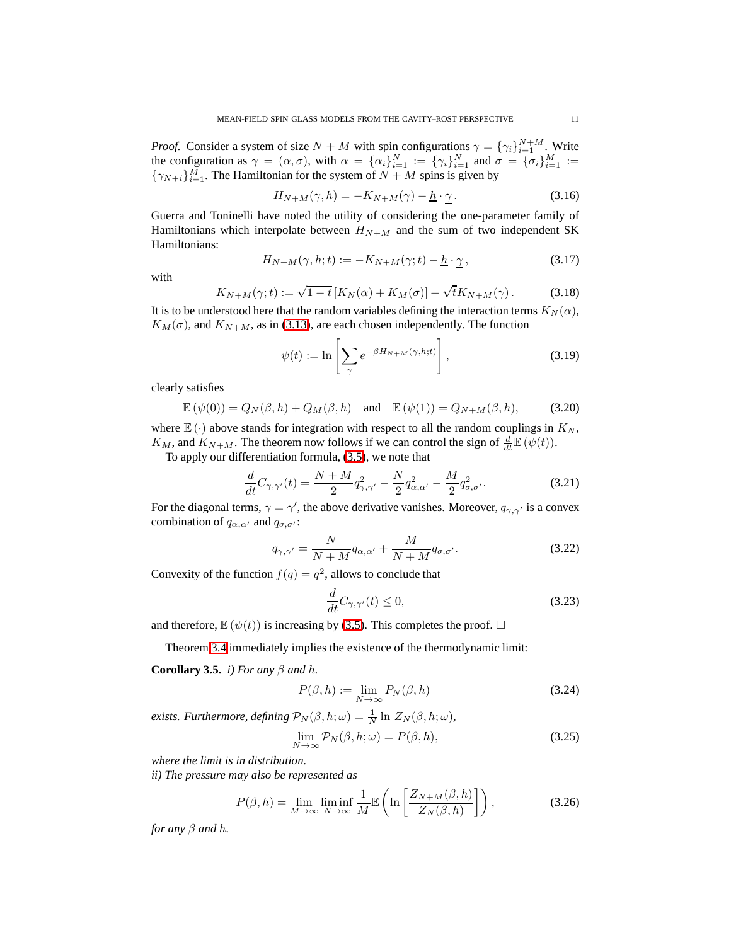*Proof.* Consider a system of size  $N + M$  with spin configurations  $\gamma = {\gamma_i}_{i=1}^{N+M}$ . Write the configuration as  $\gamma = (\alpha, \sigma)$ , with  $\alpha = {\alpha_i}_{i=1}^N := {\gamma_i}_{i=1}^N$  and  $\sigma = {\sigma_i}_{i=1}^M :=$  $\{\gamma_{N+i}\}_{i=1}^M$ . The Hamiltonian for the system of  $N + M$  spins is given by

$$
H_{N+M}(\gamma, h) = -K_{N+M}(\gamma) - \underline{h} \cdot \underline{\gamma}.
$$
 (3.16)

<span id="page-10-4"></span>Guerra and Toninelli have noted the utility of considering the one-parameter family of Hamiltonians which interpolate between  $H_{N+M}$  and the sum of two independent SK Hamiltonians:

$$
H_{N+M}(\gamma, h; t) := -K_{N+M}(\gamma; t) - \underline{h} \cdot \underline{\gamma} \,, \tag{3.17}
$$

<span id="page-10-5"></span>with

$$
K_{N+M}(\gamma;t) := \sqrt{1-t} \left[ K_N(\alpha) + K_M(\sigma) \right] + \sqrt{t} K_{N+M}(\gamma). \tag{3.18}
$$

It is to be understood here that the random variables defining the interaction terms  $K_N(\alpha)$ ,  $K_M(\sigma)$ , and  $K_{N+M}$ , as in [\(3.13\)](#page-9-2), are each chosen independently. The function

$$
\psi(t) := \ln \left[ \sum_{\gamma} e^{-\beta H_{N+M}(\gamma, h; t)} \right],\tag{3.19}
$$

clearly satisfies

$$
\mathbb{E}(\psi(0)) = Q_N(\beta, h) + Q_M(\beta, h) \quad \text{and} \quad \mathbb{E}(\psi(1)) = Q_{N+M}(\beta, h), \tag{3.20}
$$

where  $\mathbb{E}(\cdot)$  above stands for integration with respect to all the random couplings in  $K_N$ ,  $K_M$ , and  $K_{N+M}$ . The theorem now follows if we can control the sign of  $\frac{d}{dt}\mathbb{E}(\psi(t))$ .

To apply our differentiation formula, [\(3.5\)](#page-8-0), we note that

<span id="page-10-7"></span><span id="page-10-6"></span>
$$
\frac{d}{dt}C_{\gamma,\gamma'}(t) = \frac{N+M}{2}q_{\gamma,\gamma'}^2 - \frac{N}{2}q_{\alpha,\alpha'}^2 - \frac{M}{2}q_{\sigma,\sigma'}^2.
$$
 (3.21)

For the diagonal terms,  $\gamma = \gamma'$ , the above derivative vanishes. Moreover,  $q_{\gamma,\gamma'}$  is a convex combination of  $q_{\alpha,\alpha'}$  and  $q_{\sigma,\sigma'}$ :

$$
q_{\gamma,\gamma'} = \frac{N}{N+M} q_{\alpha,\alpha'} + \frac{M}{N+M} q_{\sigma,\sigma'}.
$$
 (3.22)

Convexity of the function  $f(q) = q^2$ , allows to conclude that

$$
\frac{d}{dt}C_{\gamma,\gamma'}(t) \le 0,\t\t(3.23)
$$

and therefore,  $\mathbb{E}(\psi(t))$  is increasing by [\(3.5\)](#page-8-0). This completes the proof.  $\Box$ 

Theorem [3.4](#page-9-3) immediately implies the existence of the thermodynamic limit:

<span id="page-10-0"></span>**Corollary 3.5.** *i) For any*  $\beta$  *and h*.

<span id="page-10-3"></span><span id="page-10-1"></span>
$$
P(\beta, h) := \lim_{N \to \infty} P_N(\beta, h)
$$
\n(3.24)

*exists. Furthermore, defining*  $\mathcal{P}_N(\beta, h; \omega) = \frac{1}{N} \ln Z_N(\beta, h; \omega)$ *,* 

<span id="page-10-2"></span>
$$
\lim_{N \to \infty} \mathcal{P}_N(\beta, h; \omega) = P(\beta, h), \tag{3.25}
$$

*where the limit is in distribution.*

*ii) The pressure may also be represented as*

$$
P(\beta, h) = \lim_{M \to \infty} \liminf_{N \to \infty} \frac{1}{M} \mathbb{E}\left(\ln\left[\frac{Z_{N+M}(\beta, h)}{Z_N(\beta, h)}\right]\right),\tag{3.26}
$$

*for any*  $\beta$  *and*  $h$ *.*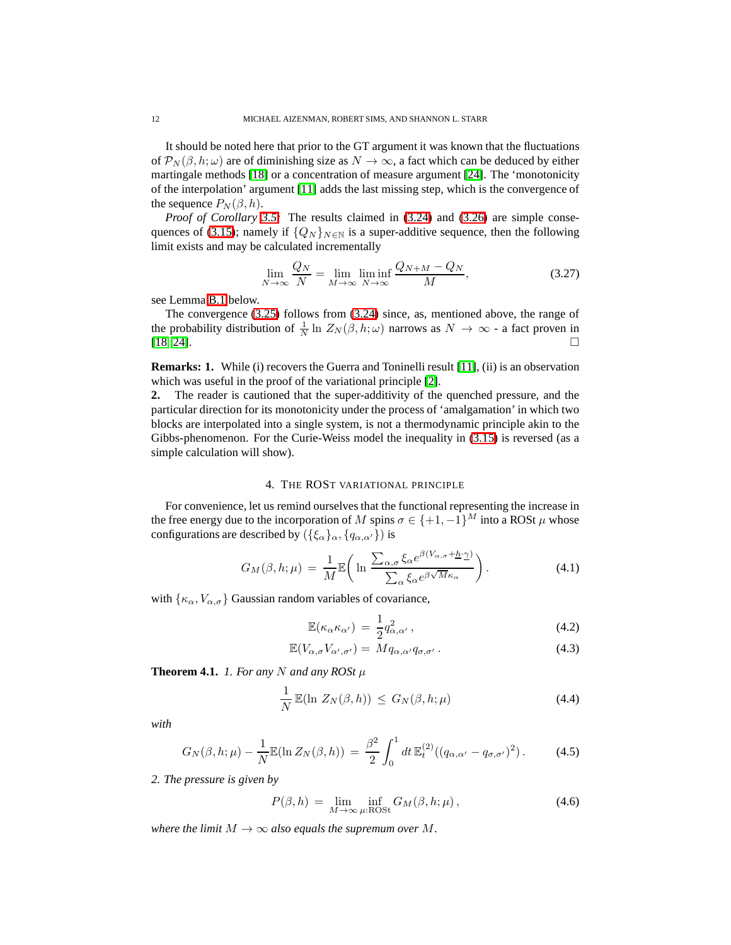It should be noted here that prior to the GT argument it was known that the fluctuations of  $\mathcal{P}_N(\beta, h; \omega)$  are of diminishing size as  $N \to \infty$ , a fact which can be deduced by either martingale methods [\[18\]](#page-27-11) or a concentration of measure argument [\[24\]](#page-28-3). The 'monotonicity of the interpolation' argument [\[11\]](#page-27-6) adds the last missing step, which is the convergence of the sequence  $P_N(\beta, h)$ .

*Proof of Corollary [3.5:](#page-10-0)* The results claimed in [\(3.24\)](#page-10-1) and [\(3.26\)](#page-10-2) are simple conse-quences of [\(3.15\)](#page-9-4); namely if  $\{Q_N\}_{N\in\mathbb{N}}$  is a super-additive sequence, then the following limit exists and may be calculated incrementally

$$
\lim_{N \to \infty} \frac{Q_N}{N} = \lim_{M \to \infty} \liminf_{N \to \infty} \frac{Q_{N+M} - Q_N}{M},
$$
\n(3.27)

see Lemma [B.1](#page-24-1) below.

The convergence [\(3.25\)](#page-10-3) follows from [\(3.24\)](#page-10-1) since, as, mentioned above, the range of the probability distribution of  $\frac{1}{N} \ln Z_N(\beta, h; \omega)$  narrows as  $N \to \infty$  - a fact proven in  $[18, 24]$  $[18, 24]$ .

**Remarks: 1.** While (i) recovers the Guerra and Toninelli result [\[11\]](#page-27-6), (ii) is an observation which was useful in the proof of the variational principle [\[2\]](#page-27-7).

**2.** The reader is cautioned that the super-additivity of the quenched pressure, and the particular direction for its monotonicity under the process of 'amalgamation' in which two blocks are interpolated into a single system, is not a thermodynamic principle akin to the Gibbs-phenomenon. For the Curie-Weiss model the inequality in [\(3.15\)](#page-9-4) is reversed (as a simple calculation will show).

## <span id="page-11-6"></span>4. THE ROST VARIATIONAL PRINCIPLE

<span id="page-11-0"></span>For convenience, let us remind ourselves that the functional representing the increase in the free energy due to the incorporation of M spins  $\sigma \in \{+1, -1\}^M$  into a ROSt  $\mu$  whose configurations are described by  $({\{\xi_{\alpha}\}}_{\alpha}, {\{q_{\alpha,\alpha'}\}})$  is

$$
G_M(\beta, h; \mu) = \frac{1}{M} \mathbb{E}\left(\ln \frac{\sum_{\alpha, \sigma} \xi_{\alpha} e^{\beta(V_{\alpha, \sigma} + \underline{h} \cdot \underline{\gamma})}}{\sum_{\alpha} \xi_{\alpha} e^{\beta \sqrt{M} \kappa_{\alpha}}}\right).
$$
(4.1)

with  $\{\kappa_{\alpha}, V_{\alpha,\sigma}\}$  Gaussian random variables of covariance,

<span id="page-11-3"></span><span id="page-11-2"></span>
$$
\mathbb{E}(\kappa_{\alpha}\kappa_{\alpha'}) = \frac{1}{2}q_{\alpha,\alpha'}^2, \qquad (4.2)
$$

<span id="page-11-5"></span>
$$
\mathbb{E}(V_{\alpha,\sigma}V_{\alpha',\sigma'})=Mq_{\alpha,\alpha'}q_{\sigma,\sigma'}.
$$
\n(4.3)

<span id="page-11-1"></span>**Theorem 4.1.** *1. For any*  $N$  *and any*  $ROSt \mu$ 

$$
\frac{1}{N}\mathbb{E}(\ln Z_N(\beta,h)) \leq G_N(\beta,h;\mu) \tag{4.4}
$$

<span id="page-11-4"></span>*with*

$$
G_N(\beta, h; \mu) - \frac{1}{N} \mathbb{E}(\ln Z_N(\beta, h)) = \frac{\beta^2}{2} \int_0^1 dt \, \mathbb{E}_t^{(2)}((q_{\alpha, \alpha'} - q_{\sigma, \sigma'})^2).
$$
 (4.5)

*2. The pressure is given by*

$$
P(\beta, h) = \lim_{M \to \infty} \inf_{\mu: \text{ROSt}} G_M(\beta, h; \mu), \tag{4.6}
$$

*where the limit*  $M \to \infty$  *also equals the supremum over* M.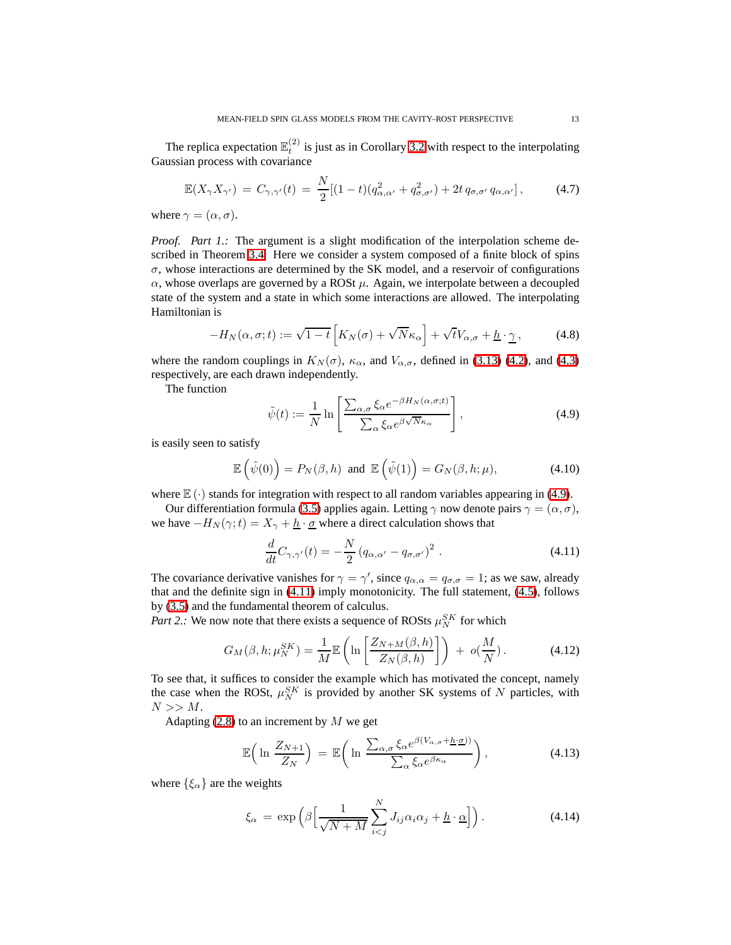The replica expectation  $\mathbb{E}_t^{(2)}$  is just as in Corollary [3.2](#page-8-4) with respect to the interpolating Gaussian process with covariance

$$
\mathbb{E}(X_{\gamma}X_{\gamma'})=C_{\gamma,\gamma'}(t)=\frac{N}{2}[(1-t)(q_{\alpha,\alpha'}^2+q_{\sigma,\sigma'}^2)+2t\,q_{\sigma,\sigma'}\,q_{\alpha,\alpha'}],\qquad(4.7)
$$

where  $\gamma = (\alpha, \sigma)$ .

*Proof. Part 1.:* The argument is a slight modification of the interpolation scheme described in Theorem [3.4.](#page-9-3) Here we consider a system composed of a finite block of spins  $\sigma$ , whose interactions are determined by the SK model, and a reservoir of configurations  $\alpha$ , whose overlaps are governed by a ROSt  $\mu$ . Again, we interpolate between a decoupled state of the system and a state in which some interactions are allowed. The interpolating Hamiltonian is

$$
-H_N(\alpha, \sigma; t) := \sqrt{1-t} \left[ K_N(\sigma) + \sqrt{N} \kappa_\alpha \right] + \sqrt{t} V_{\alpha, \sigma} + \underline{h} \cdot \underline{\gamma} \,, \tag{4.8}
$$

<span id="page-12-0"></span>where the random couplings in  $K_N(\sigma)$ ,  $\kappa_\alpha$ , and  $V_{\alpha,\sigma}$ , defined in [\(3.13\)](#page-9-2) [\(4.2\)](#page-11-2), and [\(4.3\)](#page-11-3) respectively, are each drawn independently.

The function

$$
\tilde{\psi}(t) := \frac{1}{N} \ln \left[ \frac{\sum_{\alpha,\sigma} \xi_{\alpha} e^{-\beta H_N(\alpha,\sigma;t)}}{\sum_{\alpha} \xi_{\alpha} e^{\beta \sqrt{N} \kappa_{\alpha}}} \right],
$$
\n(4.9)

is easily seen to satisfy

$$
\mathbb{E}\left(\tilde{\psi}(0)\right) = P_N(\beta, h) \text{ and } \mathbb{E}\left(\tilde{\psi}(1)\right) = G_N(\beta, h; \mu),\tag{4.10}
$$

where  $\mathbb{E}(\cdot)$  stands for integration with respect to all random variables appearing in [\(4.9\)](#page-12-0).

Our differentiation formula [\(3.5\)](#page-8-0) applies again. Letting  $\gamma$  now denote pairs  $\gamma = (\alpha, \sigma)$ , we have  $-H_N(\gamma;t) = X_\gamma + \underline{h} \cdot \underline{\sigma}$  where a direct calculation shows that

<span id="page-12-2"></span>
$$
\frac{d}{dt}C_{\gamma,\gamma'}(t) = -\frac{N}{2}(q_{\alpha,\alpha'} - q_{\sigma,\sigma'})^2.
$$
\n(4.11)

<span id="page-12-1"></span>The covariance derivative vanishes for  $\gamma = \gamma'$ , since  $q_{\alpha,\alpha} = q_{\sigma,\sigma} = 1$ ; as we saw, already that and the definite sign in [\(4.11\)](#page-12-1) imply monotonicity. The full statement, [\(4.5\)](#page-11-4), follows by [\(3.5\)](#page-8-0) and the fundamental theorem of calculus.

*Part 2.:* We now note that there exists a sequence of ROSts  $\mu_N^{SK}$  for which

$$
G_M(\beta, h; \mu_N^{SK}) = \frac{1}{M} \mathbb{E}\left(\ln\left[\frac{Z_{N+M}(\beta, h)}{Z_N(\beta, h)}\right]\right) + o(\frac{M}{N}).\tag{4.12}
$$

To see that, it suffices to consider the example which has motivated the concept, namely the case when the ROSt,  $\mu_N^{SK}$  is provided by another SK systems of N particles, with  $N >> M$ .

Adapting  $(2.8)$  to an increment by M we get

$$
\mathbb{E}\left(\ln\frac{Z_{N+1}}{Z_N}\right) = \mathbb{E}\left(\ln\frac{\sum_{\alpha,\sigma}\xi_{\alpha}e^{\beta(V_{\alpha,\sigma}+\underline{h}\cdot\underline{\sigma})}}{\sum_{\alpha}\xi_{\alpha}e^{\beta\kappa_{\alpha}}}\right),\tag{4.13}
$$

where  $\{\xi_{\alpha}\}\$ are the weights

$$
\xi_{\alpha} = \exp\left(\beta \Big[ \frac{1}{\sqrt{N+M}} \sum_{i < j}^{N} J_{ij} \alpha_i \alpha_j + \underline{h} \cdot \underline{\alpha} \Big] \right). \tag{4.14}
$$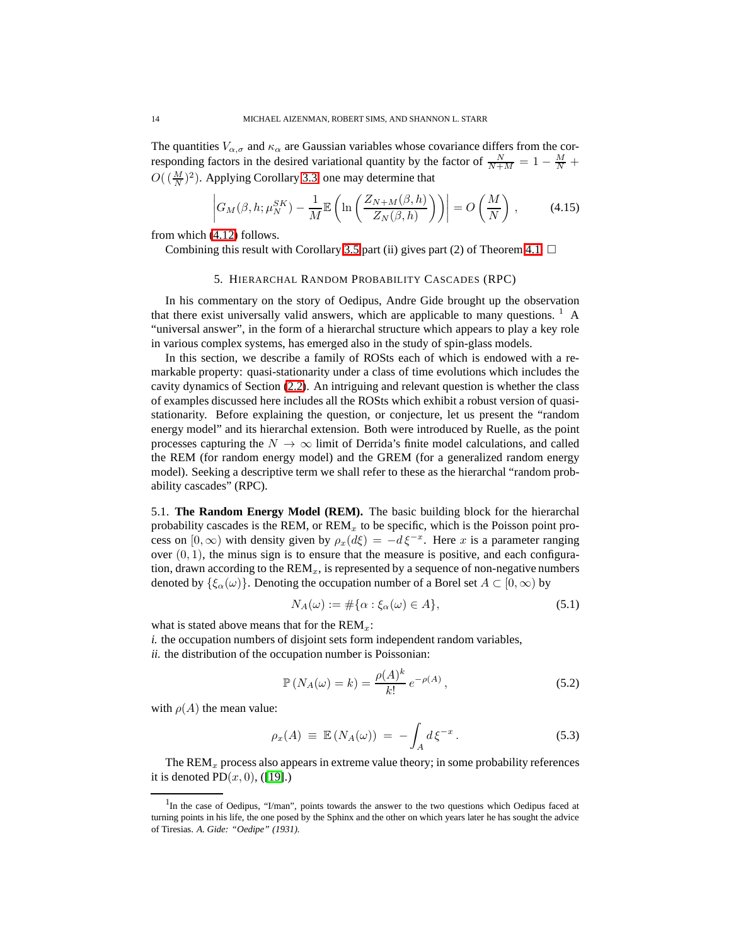The quantities  $V_{\alpha,\sigma}$  and  $\kappa_{\alpha}$  are Gaussian variables whose covariance differs from the corresponding factors in the desired variational quantity by the factor of  $\frac{N}{N+M} = 1 - \frac{M}{N} +$  $O((\frac{M}{N})^2)$ . Applying Corollary [3.3,](#page-9-1) one may determine that

$$
\left| G_M(\beta, h; \mu_N^{SK}) - \frac{1}{M} \mathbb{E} \left( \ln \left( \frac{Z_{N+M}(\beta, h)}{Z_N(\beta, h)} \right) \right) \right| = O\left( \frac{M}{N} \right) ,\tag{4.15}
$$

<span id="page-13-0"></span>from which [\(4.12\)](#page-12-2) follows.

Combining this result with Corollary [3.5](#page-10-0) part (ii) gives part (2) of Theorem [4.1.](#page-11-1)  $\Box$ 

#### 5. HIERARCHAL RANDOM PROBABILITY CASCADES (RPC)

In his commentary on the story of Oedipus, Andre Gide brought up the observation that there exist universally valid answers, which are applicable to many questions.  $<sup>1</sup>$  A</sup> "universal answer", in the form of a hierarchal structure which appears to play a key role in various complex systems, has emerged also in the study of spin-glass models.

In this section, we describe a family of ROSts each of which is endowed with a remarkable property: quasi-stationarity under a class of time evolutions which includes the cavity dynamics of Section [\(2.2\)](#page-5-1). An intriguing and relevant question is whether the class of examples discussed here includes all the ROSts which exhibit a robust version of quasistationarity. Before explaining the question, or conjecture, let us present the "random energy model" and its hierarchal extension. Both were introduced by Ruelle, as the point processes capturing the  $N \to \infty$  limit of Derrida's finite model calculations, and called the REM (for random energy model) and the GREM (for a generalized random energy model). Seeking a descriptive term we shall refer to these as the hierarchal "random probability cascades" (RPC).

5.1. **The Random Energy Model (REM).** The basic building block for the hierarchal probability cascades is the REM, or  $REM<sub>x</sub>$  to be specific, which is the Poisson point process on  $[0, \infty)$  with density given by  $\rho_x(d\xi) = -d\xi^{-x}$ . Here x is a parameter ranging over  $(0, 1)$ , the minus sign is to ensure that the measure is positive, and each configuration, drawn according to the  $\text{REM}_x$ , is represented by a sequence of non-negative numbers denoted by  $\{\xi_{\alpha}(\omega)\}\)$ . Denoting the occupation number of a Borel set  $A \subset [0,\infty)$  by

$$
N_A(\omega) := \#\{\alpha : \xi_\alpha(\omega) \in A\},\tag{5.1}
$$

what is stated above means that for the  $REM<sub>x</sub>$ :

*i.* the occupation numbers of disjoint sets form independent random variables,

*ii.* the distribution of the occupation number is Poissonian:

$$
\mathbb{P}\left(N_A(\omega) = k\right) = \frac{\rho(A)^k}{k!} \, e^{-\rho(A)}\,,\tag{5.2}
$$

<span id="page-13-1"></span>with  $\rho(A)$  the mean value:

$$
\rho_x(A) \equiv \mathbb{E}\left(N_A(\omega)\right) = -\int_A d\xi^{-x} \,. \tag{5.3}
$$

The  $\text{REM}_x$  process also appears in extreme value theory; in some probability references it is denoted  $PD(x, 0)$ , ([\[19\]](#page-27-12).)

<sup>&</sup>lt;sup>1</sup>In the case of Oedipus, "I/man", points towards the answer to the two questions which Oedipus faced at turning points in his life, the one posed by the Sphinx and the other on which years later he has sought the advice of Tiresias. *A. Gide: "Oedipe" (1931).*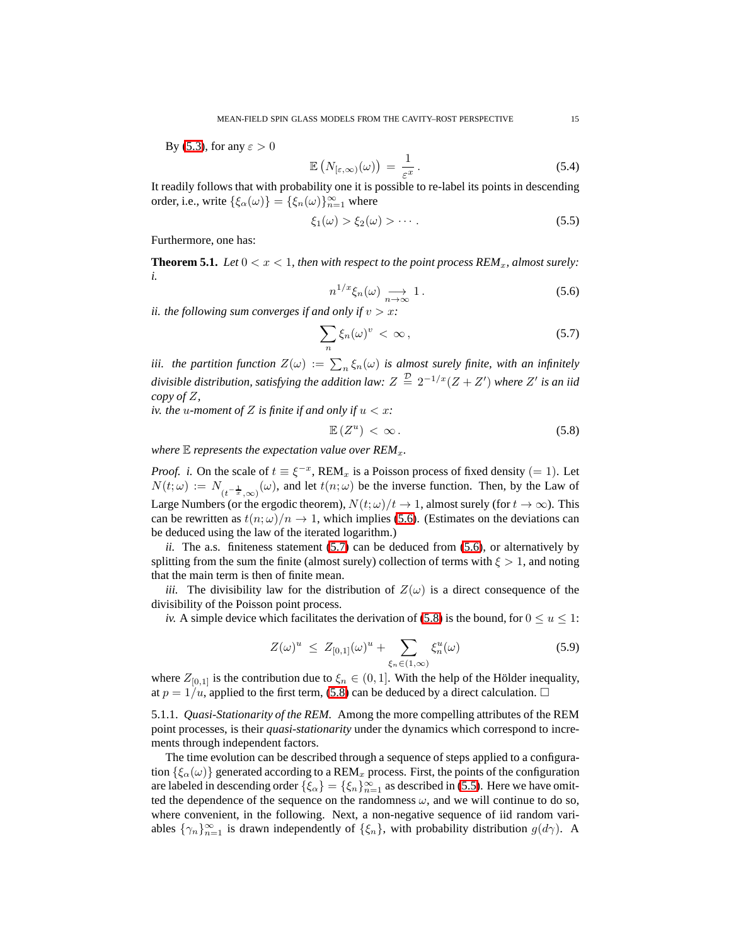By [\(5.3\)](#page-13-1), for any  $\varepsilon > 0$ 

<span id="page-14-3"></span>
$$
\mathbb{E}\left(N_{\left[\varepsilon,\infty\right)}(\omega)\right) = \frac{1}{\varepsilon^x}.
$$
\n(5.4)

It readily follows that with probability one it is possible to re-label its points in descending order, i.e., write  $\{\xi_{\alpha}(\omega)\} = \{\xi_n(\omega)\}_{n=1}^{\infty}$  where

$$
\xi_1(\omega) > \xi_2(\omega) > \cdots. \tag{5.5}
$$

<span id="page-14-4"></span>Furthermore, one has:

<span id="page-14-0"></span>**Theorem 5.1.** Let  $0 < x < 1$ , then with respect to the point process  $REM_x$ , almost surely: *i.*

<span id="page-14-1"></span>
$$
n^{1/x}\xi_n(\omega) \underset{n \to \infty}{\longrightarrow} 1. \tag{5.6}
$$

*ii. the following sum converges if and only if*  $v > x$ *:* 

$$
\sum_{n} \xi_{n}(\omega)^{v} < \infty \,, \tag{5.7}
$$

*iii. the partition function*  $Z(\omega) := \sum_{n} \xi_n(\omega)$  *is almost surely finite, with an infinitely divisible distribution, satisfying the addition law:*  $Z \stackrel{\mathcal{D}}{=} 2^{-1/x}(Z + Z')$  where  $Z'$  is an iid *copy of* Z*,*

*iv. the u-moment of*  $Z$  *is finite if and only if*  $u < x$ *:* 

<span id="page-14-2"></span>
$$
\mathbb{E}\left(Z^u\right) < \infty\,. \tag{5.8}
$$

*where*  $E$  *represents the expectation value over REM<sub>x</sub>.* 

*Proof. i.* On the scale of  $t \equiv \xi^{-x}$ , REM<sub>x</sub> is a Poisson process of fixed density (= 1). Let  $N(t; \omega) := N_{(t^{-\frac{1}{x}}, \infty)}(\omega)$ , and let  $t(n; \omega)$  be the inverse function. Then, by the Law of Large Numbers (or the ergodic theorem),  $N(t; \omega)/t \rightarrow 1$ , almost surely (for  $t \rightarrow \infty$ ). This can be rewritten as  $t(n; \omega)/n \rightarrow 1$ , which implies [\(5.6\)](#page-14-0). (Estimates on the deviations can be deduced using the law of the iterated logarithm.)

*ii.* The a.s. finiteness statement [\(5.7\)](#page-14-1) can be deduced from [\(5.6\)](#page-14-0), or alternatively by splitting from the sum the finite (almost surely) collection of terms with  $\xi > 1$ , and noting that the main term is then of finite mean.

*iii.* The divisibility law for the distribution of  $Z(\omega)$  is a direct consequence of the divisibility of the Poisson point process.

*iv.* A simple device which facilitates the derivation of [\(5.8\)](#page-14-2) is the bound, for  $0 \le u \le 1$ :

$$
Z(\omega)^u \le Z_{[0,1]}(\omega)^u + \sum_{\xi_n \in (1,\infty)} \xi_n^u(\omega) \tag{5.9}
$$

where  $Z_{[0,1]}$  is the contribution due to  $\xi_n \in (0,1]$ . With the help of the Hölder inequality, at  $p = 1/u$ , applied to the first term, [\(5.8\)](#page-14-2) can be deduced by a direct calculation.  $\Box$ 

5.1.1. *Quasi-Stationarity of the REM.* Among the more compelling attributes of the REM point processes, is their *quasi-stationarity* under the dynamics which correspond to increments through independent factors.

The time evolution can be described through a sequence of steps applied to a configuration  $\{\xi_\alpha(\omega)\}\$  generated according to a REM<sub>x</sub> process. First, the points of the configuration are labeled in descending order  $\{\xi_{\alpha}\} = \{\xi_n\}_{n=1}^{\infty}$  as described in [\(5.5\)](#page-14-3). Here we have omitted the dependence of the sequence on the randomness  $\omega$ , and we will continue to do so, where convenient, in the following. Next, a non-negative sequence of iid random variables  $\{\gamma_n\}_{n=1}^{\infty}$  is drawn independently of  $\{\xi_n\}$ , with probability distribution  $g(d\gamma)$ . A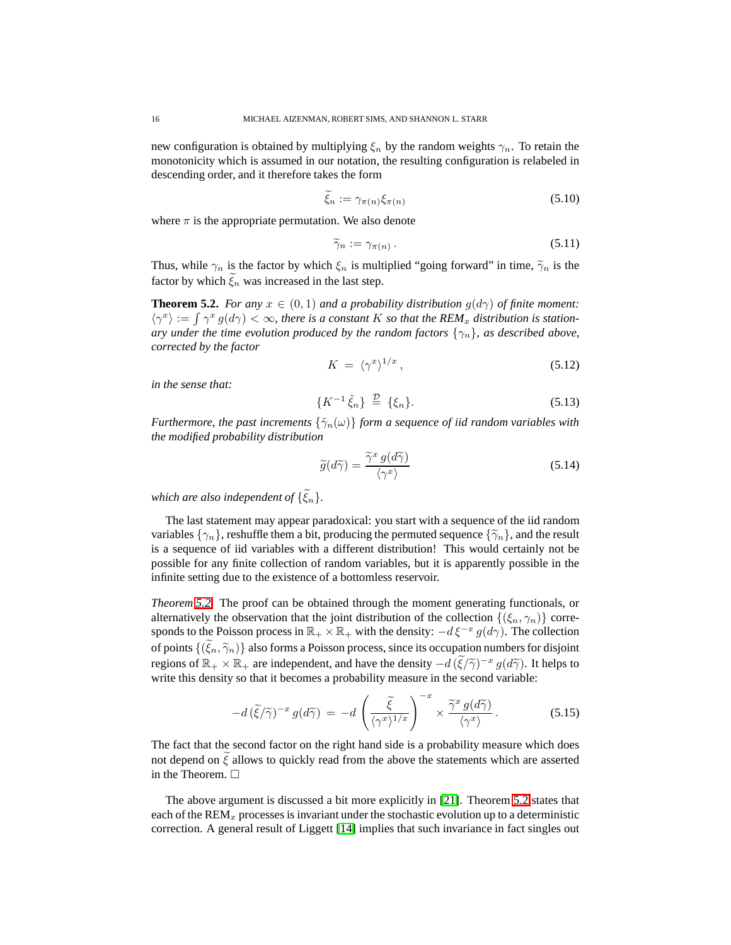new configuration is obtained by multiplying  $\xi_n$  by the random weights  $\gamma_n$ . To retain the monotonicity which is assumed in our notation, the resulting configuration is relabeled in descending order, and it therefore takes the form

$$
\xi_n := \gamma_{\pi(n)} \xi_{\pi(n)} \tag{5.10}
$$

where  $\pi$  is the appropriate permutation. We also denote

$$
\widetilde{\gamma}_n := \gamma_{\pi(n)} \,. \tag{5.11}
$$

<span id="page-15-0"></span>Thus, while  $\gamma_n$  is the factor by which  $\xi_n$  is multiplied "going forward" in time,  $\tilde{\gamma}_n$  is the factor by which  $\xi_n$  was increased in the last step.

**Theorem 5.2.** *For any*  $x \in (0,1)$  *and a probability distribution*  $g(d\gamma)$  *of finite moment:*  $\langle \gamma^x \rangle := \int \gamma^x g(d\gamma) < \infty$ , there is a constant K so that the REM<sub>x</sub> distribution is station*ary under the time evolution produced by the random factors*  $\{\gamma_n\}$ *, as described above, corrected by the factor*

$$
K = \langle \gamma^x \rangle^{1/x}, \tag{5.12}
$$

<span id="page-15-1"></span>*in the sense that:*

$$
\{K^{-1}\tilde{\xi}_n\} \stackrel{\mathcal{D}}{=} \{\xi_n\}.
$$
\n(5.13)

*Furthermore, the past increments*  $\{\tilde{\gamma}_n(\omega)\}\$  *form a sequence of iid random variables with the modified probability distribution*

$$
\widetilde{g}(d\widetilde{\gamma}) = \frac{\widetilde{\gamma}^x \, g(d\widetilde{\gamma})}{\langle \gamma^x \rangle} \tag{5.14}
$$

*which are also independent of*  $\{\widetilde{\xi}_n\}$ .

The last statement may appear paradoxical: you start with a sequence of the iid random variables  $\{\gamma_n\}$ , reshuffle them a bit, producing the permuted sequence  $\{\tilde{\gamma}_n\}$ , and the result is a sequence of iid variables with a different distribution! This would certainly not be possible for any finite collection of random variables, but it is apparently possible in the infinite setting due to the existence of a bottomless reservoir.

*Theorem [5.2.](#page-15-0)* The proof can be obtained through the moment generating functionals, or alternatively the observation that the joint distribution of the collection  $\{(\xi_n, \gamma_n)\}\)$  corresponds to the Poisson process in  $\mathbb{R}_+ \times \mathbb{R}_+$  with the density:  $-d\xi^{-x} g(d\gamma)$ . The collection of points  $\{(\xi_n, \widetilde{\gamma}_n)\}\$ also forms a Poisson process, since its occupation numbers for disjoint regions of  $\mathbb{R}_+ \times \mathbb{R}_+$  are independent, and have the density  $-d(\tilde{\xi}/\tilde{\gamma})^{-x} g(d\tilde{\gamma})$ . It helps to write this density so that it becomes a probability measure in the second variable:

$$
-d\left(\tilde{\xi}/\tilde{\gamma}\right)^{-x}g(d\tilde{\gamma}) = -d\left(\frac{\tilde{\xi}}{\langle\gamma^x\rangle^{1/x}}\right)^{-x} \times \frac{\tilde{\gamma}^x g(d\tilde{\gamma})}{\langle\gamma^x\rangle}.
$$
 (5.15)

The fact that the second factor on the right hand side is a probability measure which does not depend on  $\xi$  allows to quickly read from the above the statements which are asserted in the Theorem.

The above argument is discussed a bit more explicitly in [\[21\]](#page-28-2). Theorem [5.2](#page-15-0) states that each of the  $\text{REM}_x$  processes is invariant under the stochastic evolution up to a deterministic correction. A general result of Liggett [\[14\]](#page-27-13) implies that such invariance in fact singles out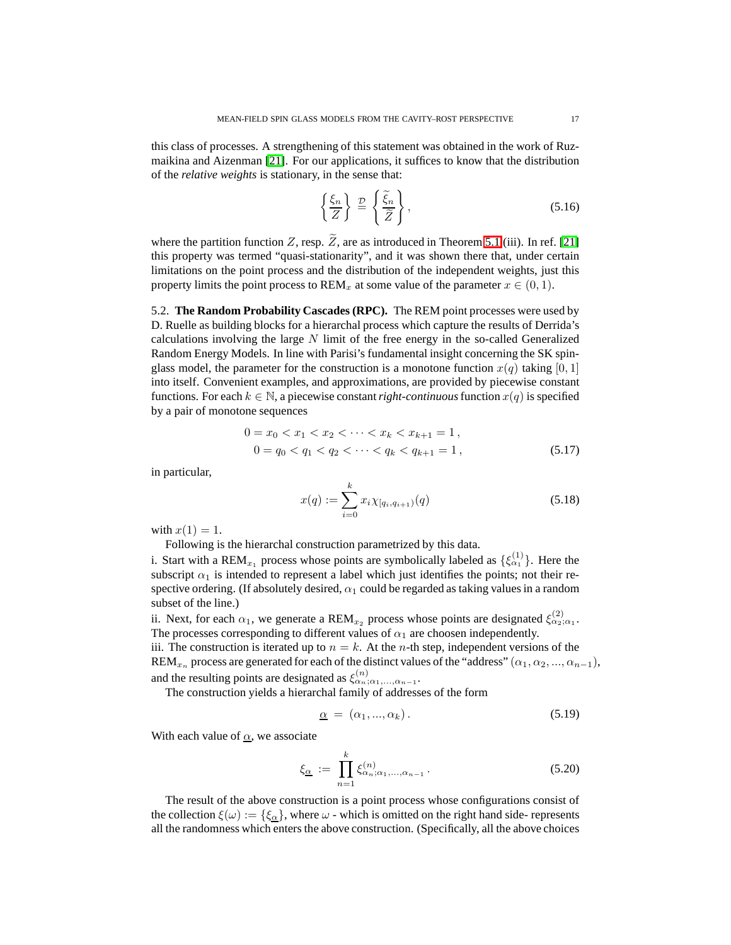this class of processes. A strengthening of this statement was obtained in the work of Ruzmaikina and Aizenman [\[21\]](#page-28-2). For our applications, it suffices to know that the distribution of the *relative weights* is stationary, in the sense that:

<span id="page-16-0"></span>
$$
\left\{\frac{\xi_n}{Z}\right\} \stackrel{\mathcal{D}}{=} \left\{\frac{\tilde{\xi}_n}{\tilde{Z}}\right\},\tag{5.16}
$$

where the partition function Z, resp.  $\widetilde{Z}$ , are as introduced in Theorem [5.1](#page-14-4) (iii). In ref. [\[21\]](#page-28-2) this property was termed "quasi-stationarity", and it was shown there that, under certain limitations on the point process and the distribution of the independent weights, just this property limits the point process to REM<sub>x</sub> at some value of the parameter  $x \in (0,1)$ .

5.2. **The Random Probability Cascades (RPC).** The REM point processes were used by D. Ruelle as building blocks for a hierarchal process which capture the results of Derrida's calculations involving the large  $N$  limit of the free energy in the so-called Generalized Random Energy Models. In line with Parisi's fundamental insight concerning the SK spinglass model, the parameter for the construction is a monotone function  $x(q)$  taking [0, 1] into itself. Convenient examples, and approximations, are provided by piecewise constant functions. For each  $k \in \mathbb{N}$ , a piecewise constant *right-continuous* function  $x(q)$  is specified by a pair of monotone sequences

$$
0 = x_0 < x_1 < x_2 < \dots < x_k < x_{k+1} = 1, \\
0 = q_0 < q_1 < q_2 < \dots < q_k < q_{k+1} = 1,\n \tag{5.17}
$$

in particular,

$$
x(q) := \sum_{i=0}^{k} x_i \chi_{[q_i, q_{i+1})}(q)
$$
\n(5.18)

with  $x(1) = 1$ .

Following is the hierarchal construction parametrized by this data.

i. Start with a REM<sub>x<sub>1</sub></sub> process whose points are symbolically labeled as  $\{\xi_{\alpha_1}^{(1)}\}$ . Here the subscript  $\alpha_1$  is intended to represent a label which just identifies the points; not their respective ordering. (If absolutely desired,  $\alpha_1$  could be regarded as taking values in a random subset of the line.)

ii. Next, for each  $\alpha_1$ , we generate a REM<sub>x<sub>2</sub></sub> process whose points are designated  $\xi_{\alpha_2;\alpha_1}^{(2)}$ . The processes corresponding to different values of  $\alpha_1$  are choosen independently.

iii. The construction is iterated up to  $n = k$ . At the *n*-th step, independent versions of the REM<sub>x<sub>n</sub></sub> process are generated for each of the distinct values of the "address" ( $\alpha_1, \alpha_2, ..., \alpha_{n-1}$ ), and the resulting points are designated as  $\xi_{\alpha_n;\alpha_1,\dots,\alpha_{n-1}}^{(n)}$ .

The construction yields a hierarchal family of addresses of the form

$$
\underline{\alpha} = (\alpha_1, ..., \alpha_k). \tag{5.19}
$$

With each value of  $\alpha$ , we associate

$$
\xi_{\underline{\alpha}} := \prod_{n=1}^{k} \xi_{\alpha_n; \alpha_1, \dots, \alpha_{n-1}}^{(n)}.
$$
\n(5.20)

The result of the above construction is a point process whose configurations consist of the collection  $\xi(\omega) := {\xi_{\alpha}}$ , where  $\omega$  - which is omitted on the right hand side- represents all the randomness which enters the above construction. (Specifically, all the above choices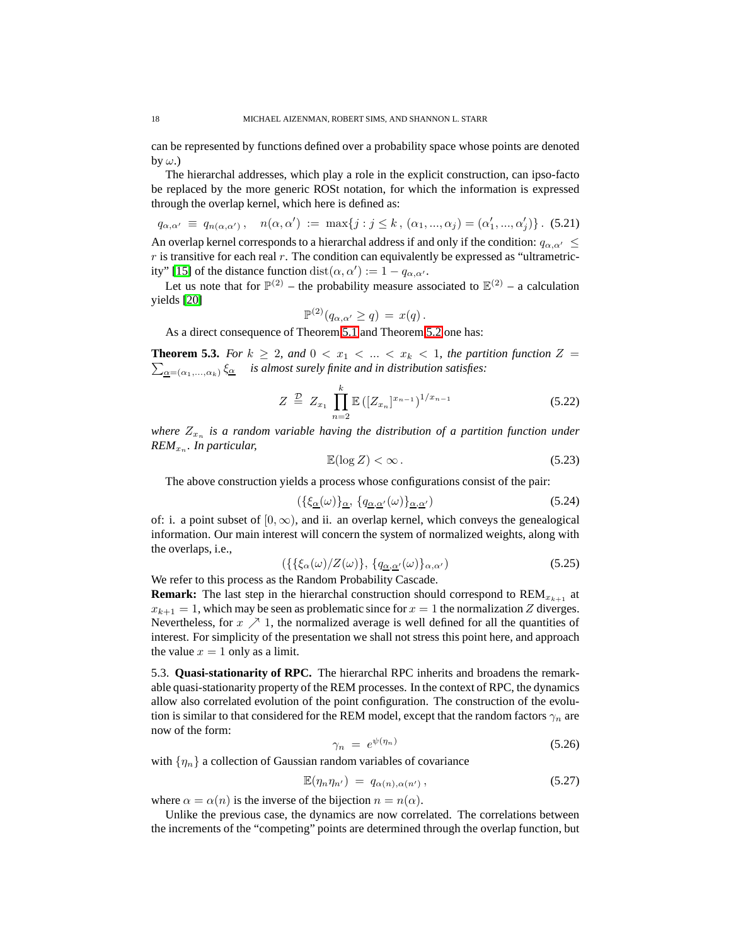can be represented by functions defined over a probability space whose points are denoted by  $\omega$ .)

The hierarchal addresses, which play a role in the explicit construction, can ipso-facto be replaced by the more generic ROSt notation, for which the information is expressed through the overlap kernel, which here is defined as:

$$
q_{\alpha,\alpha'} \equiv q_{n(\alpha,\alpha')}, \quad n(\alpha,\alpha') := \max\{j : j \le k, (\alpha_1, ..., \alpha_j) = (\alpha'_1, ..., \alpha'_j)\}.
$$
 (5.21)  
An overlap kernel corresponds to a hierarchical address if and only if the condition:  $q_{\alpha,\alpha'} \le r$  is transitive for each real r. The condition can equivalently be expressed as "ultrametric-  
ity" [15] of the distance function  $dist(\alpha, \alpha') := 1 - q_{\alpha,\alpha'}$ .

Let us note that for  $\mathbb{P}^{(2)}$  – the probability measure associated to  $\mathbb{E}^{(2)}$  – a calculation yields [\[20\]](#page-27-5)

$$
\mathbb{P}^{(2)}(q_{\alpha,\alpha'} \geq q) = x(q).
$$

As a direct consequence of Theorem [5.1](#page-14-4) and Theorem [5.2](#page-15-0) one has:

**Theorem 5.3.** For  $k \geq 2$ , and  $0 < x_1 < ... < x_k < 1$ , the partition function  $Z =$  $\sum_{\underline{\alpha}=(\alpha_1,...,\alpha_k)}\xi_{\underline{\alpha}}$  *is almost surely finite and in distribution satisfies:* 

$$
Z \stackrel{D}{=} Z_{x_1} \prod_{n=2}^{k} \mathbb{E} \left( [Z_{x_n}]^{x_{n-1}} \right)^{1/x_{n-1}} \tag{5.22}
$$

where  $Z_{x_n}$  is a random variable having the distribution of a partition function under *REM*<sub>x<sub>n</sub>. In particular,</sub>

$$
\mathbb{E}(\log Z) < \infty \,. \tag{5.23}
$$

The above construction yields a process whose configurations consist of the pair:

$$
(\{\xi_{\underline{\alpha}}(\omega)\}_{\underline{\alpha}}, \{q_{\underline{\alpha},\underline{\alpha}'}(\omega)\}_{\underline{\alpha},\underline{\alpha}'})
$$
\n(5.24)

<span id="page-17-1"></span>of: i. a point subset of  $[0, \infty)$ , and ii. an overlap kernel, which conveys the genealogical information. Our main interest will concern the system of normalized weights, along with the overlaps, i.e.,

$$
(\{\xi_{\alpha}(\omega)/Z(\omega)\},\{q_{\underline{\alpha},\underline{\alpha}'}(\omega)\}_{\alpha,\alpha'})\tag{5.25}
$$

We refer to this process as the Random Probability Cascade.

**Remark:** The last step in the hierarchal construction should correspond to  $REM_{x_{k+1}}$  at  $x_{k+1} = 1$ , which may be seen as problematic since for  $x = 1$  the normalization Z diverges. Nevertheless, for  $x \nearrow 1$ , the normalized average is well defined for all the quantities of interest. For simplicity of the presentation we shall not stress this point here, and approach the value  $x = 1$  only as a limit.

5.3. **Quasi-stationarity of RPC.** The hierarchal RPC inherits and broadens the remarkable quasi-stationarity property of the REM processes. In the context of RPC, the dynamics allow also correlated evolution of the point configuration. The construction of the evolution is similar to that considered for the REM model, except that the random factors  $\gamma_n$  are now of the form:

<span id="page-17-0"></span>
$$
\gamma_n = e^{\psi(\eta_n)} \tag{5.26}
$$

with  $\{\eta_n\}$  a collection of Gaussian random variables of covariance

$$
\mathbb{E}(\eta_n \eta_{n'}) = q_{\alpha(n), \alpha(n')}, \qquad (5.27)
$$

where  $\alpha = \alpha(n)$  is the inverse of the bijection  $n = n(\alpha)$ .

Unlike the previous case, the dynamics are now correlated. The correlations between the increments of the "competing" points are determined through the overlap function, but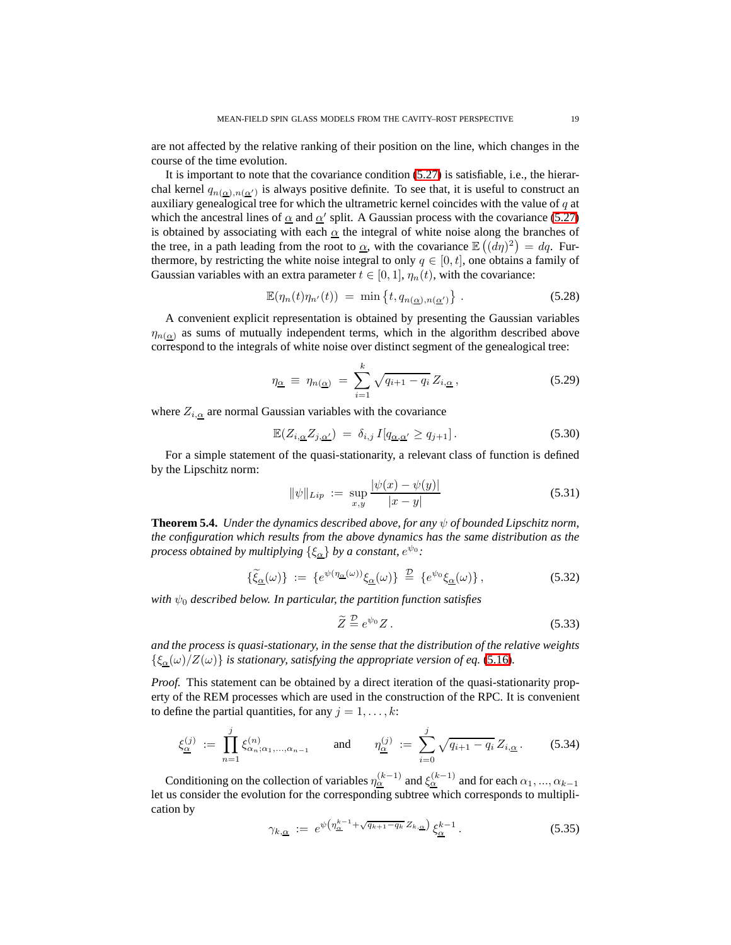are not affected by the relative ranking of their position on the line, which changes in the course of the time evolution.

It is important to note that the covariance condition [\(5.27\)](#page-17-0) is satisfiable, i.e., the hierarchal kernel  $q_{n(\underline{\alpha}) , n(\underline{\alpha}')}$  is always positive definite. To see that, it is useful to construct an auxiliary genealogical tree for which the ultrametric kernel coincides with the value of  $q$  at which the ancestral lines of  $\alpha$  and  $\alpha'$  split. A Gaussian process with the covariance [\(5.27\)](#page-17-0) is obtained by associating with each  $\alpha$  the integral of white noise along the branches of the tree, in a path leading from the root to  $\underline{\alpha}$ , with the covariance  $\mathbb{E}((d\eta)^2) = dq$ . Furthermore, by restricting the white noise integral to only  $q \in [0, t]$ , one obtains a family of Gaussian variables with an extra parameter  $t \in [0, 1]$ ,  $\eta_n(t)$ , with the covariance:

$$
\mathbb{E}(\eta_n(t)\eta_{n'}(t)) = \min\left\{t, q_{n(\underline{\alpha}), n(\underline{\alpha}')} \right\}.
$$
 (5.28)

A convenient explicit representation is obtained by presenting the Gaussian variables  $\eta_{n(\alpha)}$  as sums of mutually independent terms, which in the algorithm described above correspond to the integrals of white noise over distinct segment of the genealogical tree:

$$
\eta_{\underline{\alpha}} \equiv \eta_{n(\underline{\alpha})} = \sum_{i=1}^{k} \sqrt{q_{i+1} - q_i} Z_{i,\underline{\alpha}}, \qquad (5.29)
$$

where  $Z_{i,\alpha}$  are normal Gaussian variables with the covariance

$$
\mathbb{E}(Z_{i,\underline{\alpha}}Z_{j,\underline{\alpha'}}) = \delta_{i,j} I[q_{\underline{\alpha},\underline{\alpha'}} \ge q_{j+1}]. \tag{5.30}
$$

For a simple statement of the quasi-stationarity, a relevant class of function is defined by the Lipschitz norm:

<span id="page-18-0"></span>
$$
\|\psi\|_{Lip} := \sup_{x,y} \frac{|\psi(x) - \psi(y)|}{|x - y|}
$$
\n(5.31)

<span id="page-18-1"></span>**Theorem 5.4.** *Under the dynamics described above, for any* ψ *of bounded Lipschitz norm, the configuration which results from the above dynamics has the same distribution as the process obtained by multiplying*  $\{\xi_{\underline{\alpha}}\}$  *by a constant,*  $e^{\psi_0}$ :

$$
\{\tilde{\xi}_{\underline{\alpha}}(\omega)\} := \{e^{\psi(\eta_{\underline{\alpha}}(\omega))}\xi_{\underline{\alpha}}(\omega)\} \stackrel{\mathcal{D}}{=} \{e^{\psi_0}\xi_{\underline{\alpha}}(\omega)\},\tag{5.32}
$$

*with*  $\psi_0$  *described below. In particular, the partition function satisfies* 

$$
\widetilde{Z} \stackrel{\mathcal{D}}{=} e^{\psi_0} Z. \tag{5.33}
$$

*and the process is quasi-stationary, in the sense that the distribution of the relative weights*  ${\{\xi_\alpha(\omega)/Z(\omega)\}}$  *is stationary, satisfying the appropriate version of eq.* [\(5.16\)](#page-16-0)*.* 

*Proof.* This statement can be obtained by a direct iteration of the quasi-stationarity property of the REM processes which are used in the construction of the RPC. It is convenient to define the partial quantities, for any  $j = 1, \ldots, k$ :

$$
\xi_{\underline{\alpha}}^{(j)} := \prod_{n=1}^{j} \xi_{\alpha_n; \alpha_1, \dots, \alpha_{n-1}}^{(n)} \quad \text{and} \quad \eta_{\underline{\alpha}}^{(j)} := \sum_{i=0}^{j} \sqrt{q_{i+1} - q_i} Z_{i, \underline{\alpha}}.
$$
 (5.34)

Conditioning on the collection of variables  $\eta_{\underline{\alpha}}^{(k-1)}$  and  $\xi_{\underline{\alpha}}^{(k-1)}$  and for each  $\alpha_1, ..., \alpha_{k-1}$ let us consider the evolution for the corresponding subtree which corresponds to multiplication by

$$
\gamma_{k,\underline{\alpha}} := e^{\psi \left( \eta_{\underline{\alpha}}^{k-1} + \sqrt{q_{k+1} - q_k} Z_{k,\underline{\alpha}} \right)} \xi_{\underline{\alpha}}^{k-1} \,. \tag{5.35}
$$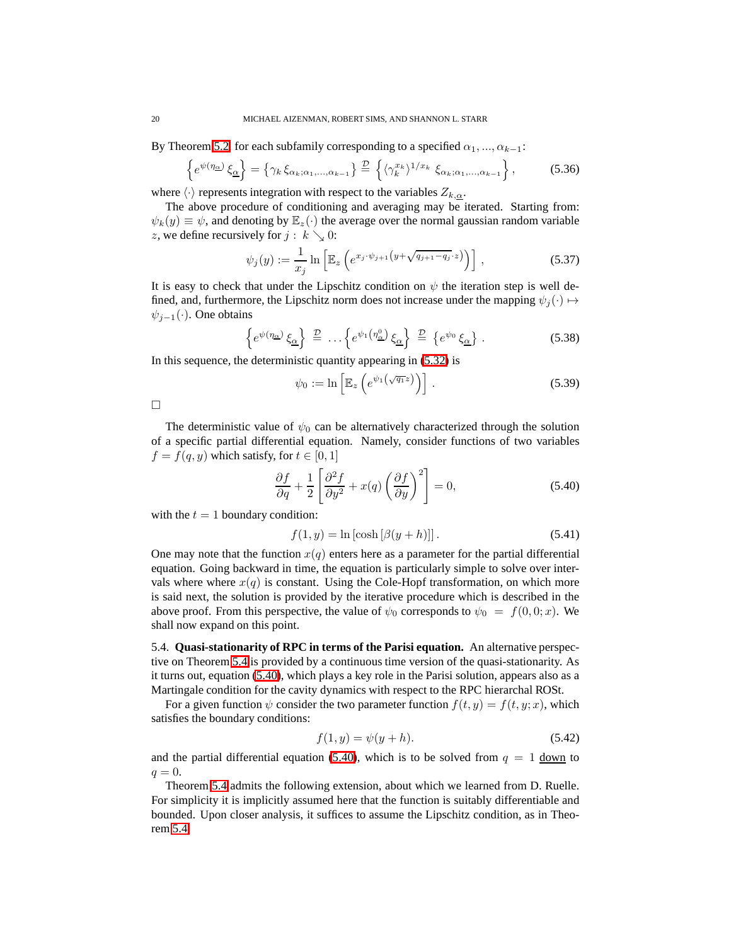By Theorem [5.2,](#page-15-0) for each subfamily corresponding to a specified  $\alpha_1, ..., \alpha_{k-1}$ :

$$
\left\{ e^{\psi(\eta_{\underline{\alpha}})} \xi_{\underline{\alpha}} \right\} = \left\{ \gamma_k \xi_{\alpha_k; \alpha_1, \dots, \alpha_{k-1}} \right\} \stackrel{\mathcal{D}}{=} \left\{ \langle \gamma_k^{x_k} \rangle^{1/x_k} \xi_{\alpha_k; \alpha_1, \dots, \alpha_{k-1}} \right\},\tag{5.36}
$$

where  $\langle \cdot \rangle$  represents integration with respect to the variables  $Z_{k,\alpha}$ .

The above procedure of conditioning and averaging may be iterated. Starting from:  $\psi_k(y) \equiv \psi$ , and denoting by  $\mathbb{E}_z(\cdot)$  the average over the normal gaussian random variable z, we define recursively for  $j : k \searrow 0$ :

$$
\psi_j(y) := \frac{1}{x_j} \ln \left[ \mathbb{E}_z \left( e^{x_j \cdot \psi_{j+1} \left( y + \sqrt{q_{j+1} - q_j} \cdot z \right)} \right) \right], \tag{5.37}
$$

<span id="page-19-2"></span>It is easy to check that under the Lipschitz condition on  $\psi$  the iteration step is well defined, and, furthermore, the Lipschitz norm does not increase under the mapping  $\psi_i(\cdot) \mapsto$  $\psi_{j-1}(\cdot)$ . One obtains

$$
\left\{ e^{\psi(\eta_{\underline{\alpha}})} \xi_{\underline{\alpha}} \right\} \stackrel{\mathcal{D}}{=} \dots \left\{ e^{\psi_1(\eta_{\underline{\alpha}}^0)} \xi_{\underline{\alpha}} \right\} \stackrel{\mathcal{D}}{=} \left\{ e^{\psi_0} \xi_{\underline{\alpha}} \right\} . \tag{5.38}
$$

In this sequence, the deterministic quantity appearing in [\(5.32\)](#page-18-0) is

$$
\psi_0 := \ln \left[ \mathbb{E}_z \left( e^{\psi_1(\sqrt{q_1}z)} \right) \right]. \tag{5.39}
$$

 $\Box$ 

The deterministic value of  $\psi_0$  can be alternatively characterized through the solution of a specific partial differential equation. Namely, consider functions of two variables  $f = f(q, y)$  which satisfy, for  $t \in [0, 1]$ 

<span id="page-19-0"></span>
$$
\frac{\partial f}{\partial q} + \frac{1}{2} \left[ \frac{\partial^2 f}{\partial y^2} + x(q) \left( \frac{\partial f}{\partial y} \right)^2 \right] = 0,\tag{5.40}
$$

with the  $t = 1$  boundary condition:

$$
f(1, y) = \ln\left[\cosh\left[\beta(y+h)\right]\right].\tag{5.41}
$$

One may note that the function  $x(q)$  enters here as a parameter for the partial differential equation. Going backward in time, the equation is particularly simple to solve over intervals where where  $x(q)$  is constant. Using the Cole-Hopf transformation, on which more is said next, the solution is provided by the iterative procedure which is described in the above proof. From this perspective, the value of  $\psi_0$  corresponds to  $\psi_0 = f(0, 0; x)$ . We shall now expand on this point.

5.4. **Quasi-stationarity of RPC in terms of the Parisi equation.** An alternative perspective on Theorem [5.4](#page-18-1) is provided by a continuous time version of the quasi-stationarity. As it turns out, equation [\(5.40\)](#page-19-0), which plays a key role in the Parisi solution, appears also as a Martingale condition for the cavity dynamics with respect to the RPC hierarchal ROSt.

<span id="page-19-1"></span>For a given function  $\psi$  consider the two parameter function  $f(t, y) = f(t, y; x)$ , which satisfies the boundary conditions:

$$
f(1, y) = \psi(y + h).
$$
 (5.42)

and the partial differential equation [\(5.40\)](#page-19-0), which is to be solved from  $q = 1$  down to  $q=0.$ 

<span id="page-19-3"></span>Theorem [5.4](#page-18-1) admits the following extension, about which we learned from D. Ruelle. For simplicity it is implicitly assumed here that the function is suitably differentiable and bounded. Upon closer analysis, it suffices to assume the Lipschitz condition, as in Theorem [5.4.](#page-18-1)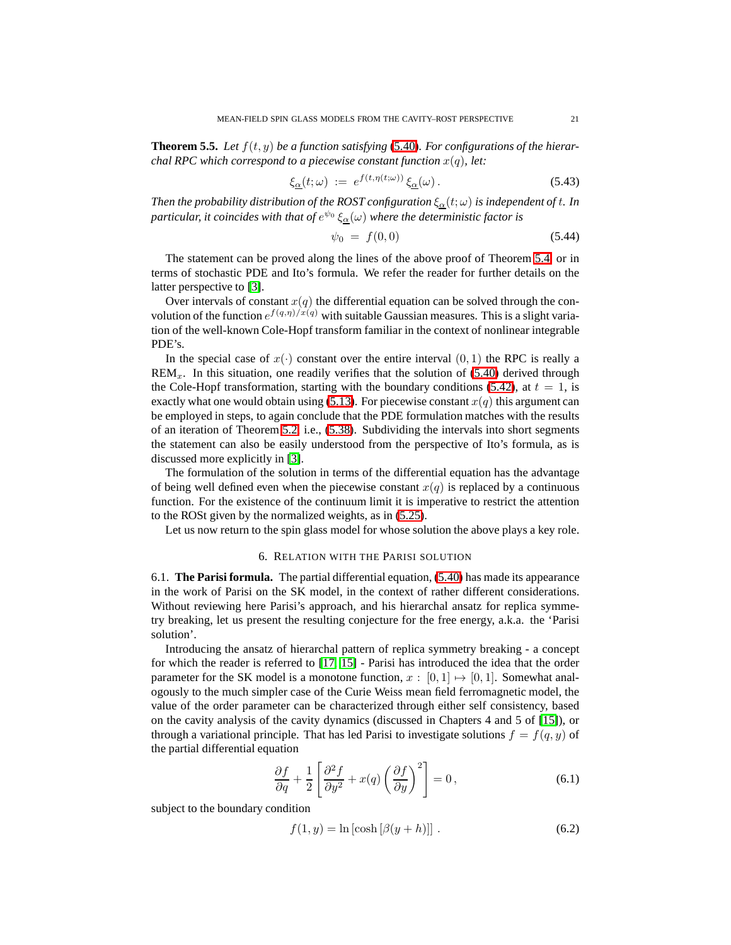**Theorem 5.5.** *Let* f(t, y) *be a function satisfying* [\(5.40\)](#page-19-0)*. For configurations of the hierarchal RPC which correspond to a piecewise constant function*  $x(q)$ *, let:* 

$$
\xi_{\underline{\alpha}}(t;\omega) := e^{f(t,\eta(t;\omega))} \xi_{\underline{\alpha}}(\omega). \tag{5.43}
$$

*Then the probability distribution of the ROST configuration*  $\xi_{\alpha}(t;\omega)$  *is independent of t. In* particular, it coincides with that of  $e^{\psi_0}\,\xi_\alpha(\omega)$  where the deterministic factor is

$$
\psi_0 = f(0,0) \tag{5.44}
$$

The statement can be proved along the lines of the above proof of Theorem [5.4,](#page-18-1) or in terms of stochastic PDE and Ito's formula. We refer the reader for further details on the latter perspective to [\[3\]](#page-27-14).

Over intervals of constant  $x(q)$  the differential equation can be solved through the convolution of the function  $e^{f(q,\eta)/x(q)}$  with suitable Gaussian measures. This is a slight variation of the well-known Cole-Hopf transform familiar in the context of nonlinear integrable PDE's.

In the special case of  $x(\cdot)$  constant over the entire interval  $(0, 1)$  the RPC is really a  $\text{REM}_x$ . In this situation, one readily verifies that the solution of [\(5.40\)](#page-19-0) derived through the Cole-Hopf transformation, starting with the boundary conditions [\(5.42\)](#page-19-1), at  $t = 1$ , is exactly what one would obtain using  $(5.13)$ . For piecewise constant  $x(q)$  this argument can be employed in steps, to again conclude that the PDE formulation matches with the results of an iteration of Theorem [5.2,](#page-15-0) i.e., [\(5.38\)](#page-19-2). Subdividing the intervals into short segments the statement can also be easily understood from the perspective of Ito's formula, as is discussed more explicitly in [\[3\]](#page-27-14).

The formulation of the solution in terms of the differential equation has the advantage of being well defined even when the piecewise constant  $x(q)$  is replaced by a continuous function. For the existence of the continuum limit it is imperative to restrict the attention to the ROSt given by the normalized weights, as in [\(5.25\)](#page-17-1).

Let us now return to the spin glass model for whose solution the above plays a key role.

#### 6. RELATION WITH THE PARISI SOLUTION

<span id="page-20-0"></span>6.1. **The Parisi formula.** The partial differential equation, [\(5.40\)](#page-19-0) has made its appearance in the work of Parisi on the SK model, in the context of rather different considerations. Without reviewing here Parisi's approach, and his hierarchal ansatz for replica symmetry breaking, let us present the resulting conjecture for the free energy, a.k.a. the 'Parisi solution'.

Introducing the ansatz of hierarchal pattern of replica symmetry breaking - a concept for which the reader is referred to [\[17,](#page-27-2) [15\]](#page-27-3) - Parisi has introduced the idea that the order parameter for the SK model is a monotone function,  $x : [0, 1] \rightarrow [0, 1]$ . Somewhat analogously to the much simpler case of the Curie Weiss mean field ferromagnetic model, the value of the order parameter can be characterized through either self consistency, based on the cavity analysis of the cavity dynamics (discussed in Chapters 4 and 5 of [\[15\]](#page-27-3)), or through a variational principle. That has led Parisi to investigate solutions  $f = f(q, y)$  of the partial differential equation

$$
\frac{\partial f}{\partial q} + \frac{1}{2} \left[ \frac{\partial^2 f}{\partial y^2} + x(q) \left( \frac{\partial f}{\partial y} \right)^2 \right] = 0, \tag{6.1}
$$

subject to the boundary condition

$$
f(1, y) = \ln\left[\cosh\left[\beta(y+h)\right]\right].\tag{6.2}
$$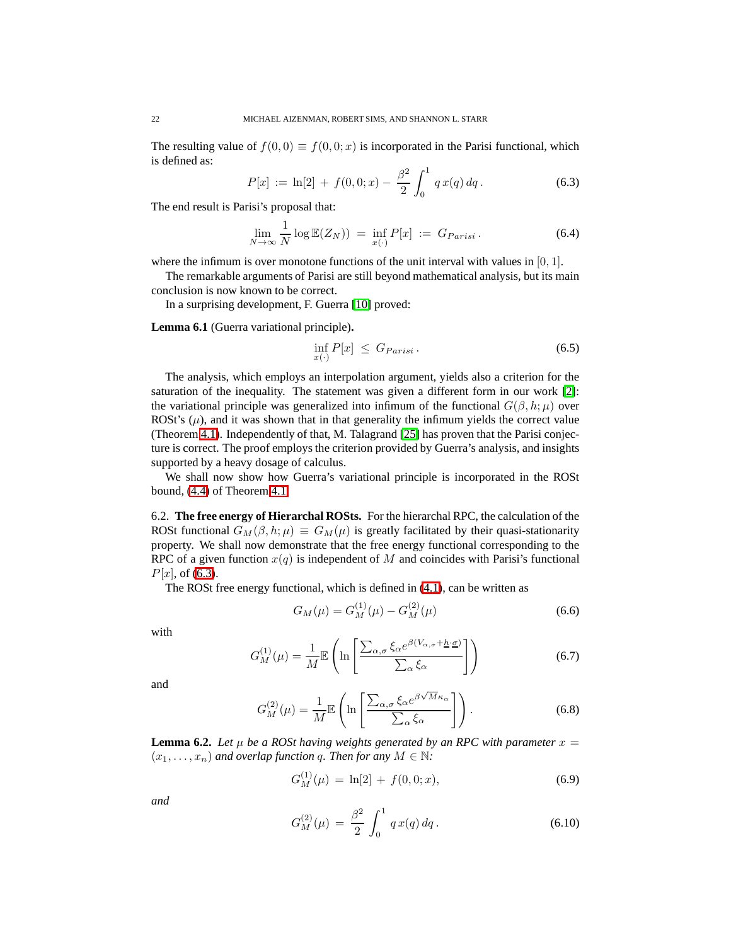<span id="page-21-0"></span>The resulting value of  $f(0, 0) \equiv f(0, 0; x)$  is incorporated in the Parisi functional, which is defined as:

$$
P[x] := \ln[2] + f(0,0;x) - \frac{\beta^2}{2} \int_0^1 q x(q) \, dq. \tag{6.3}
$$

The end result is Parisi's proposal that:

$$
\lim_{N \to \infty} \frac{1}{N} \log \mathbb{E}(Z_N)) = \inf_{x(\cdot)} P[x] := G_{Parisi}.
$$
\n(6.4)

where the infimum is over monotone functions of the unit interval with values in  $[0, 1]$ .

The remarkable arguments of Parisi are still beyond mathematical analysis, but its main conclusion is now known to be correct.

In a surprising development, F. Guerra [\[10\]](#page-27-8) proved:

**Lemma 6.1** (Guerra variational principle)**.**

$$
\inf_{x(\cdot)} P[x] \le G_{Parisi} \,. \tag{6.5}
$$

The analysis, which employs an interpolation argument, yields also a criterion for the saturation of the inequality. The statement was given a different form in our work [\[2\]](#page-27-7): the variational principle was generalized into infimum of the functional  $G(\beta, h; \mu)$  over ROSt's  $(\mu)$ , and it was shown that in that generality the infimum yields the correct value (Theorem [4.1\)](#page-11-1). Independently of that, M. Talagrand [\[25\]](#page-28-1) has proven that the Parisi conjecture is correct. The proof employs the criterion provided by Guerra's analysis, and insights supported by a heavy dosage of calculus.

We shall now show how Guerra's variational principle is incorporated in the ROSt bound, [\(4.4\)](#page-11-5) of Theorem [4.1.](#page-11-1)

6.2. **The free energy of Hierarchal ROSts.** For the hierarchal RPC, the calculation of the ROSt functional  $G_M(\beta, h; \mu) \equiv G_M(\mu)$  is greatly facilitated by their quasi-stationarity property. We shall now demonstrate that the free energy functional corresponding to the RPC of a given function  $x(q)$  is independent of M and coincides with Parisi's functional  $P[x]$ , of [\(6.3\)](#page-21-0).

The ROSt free energy functional, which is defined in [\(4.1\)](#page-11-6), can be written as

$$
G_M(\mu) = G_M^{(1)}(\mu) - G_M^{(2)}(\mu) \tag{6.6}
$$

with

$$
G_M^{(1)}(\mu) = \frac{1}{M} \mathbb{E}\left(\ln\left[\frac{\sum_{\alpha,\sigma} \xi_\alpha e^{\beta(V_{\alpha,\sigma} + \underline{h}\cdot \underline{\sigma})}}{\sum_{\alpha} \xi_\alpha}\right]\right) \tag{6.7}
$$

and

$$
G_M^{(2)}(\mu) = \frac{1}{M} \mathbb{E}\left(\ln\left[\frac{\sum_{\alpha,\sigma} \xi_\alpha e^{\beta \sqrt{M}\kappa_\alpha}}{\sum_\alpha \xi_\alpha}\right]\right). \tag{6.8}
$$

**Lemma 6.2.** Let  $\mu$  be a ROSt having weights generated by an RPC with parameter  $x =$  $(x_1, \ldots, x_n)$  *and overlap function q. Then for any*  $M \in \mathbb{N}$ :

<span id="page-21-1"></span>
$$
G_M^{(1)}(\mu) = \ln[2] + f(0,0;x), \tag{6.9}
$$

<span id="page-21-2"></span>*and*

$$
G_M^{(2)}(\mu) = \frac{\beta^2}{2} \int_0^1 q x(q) dq.
$$
 (6.10)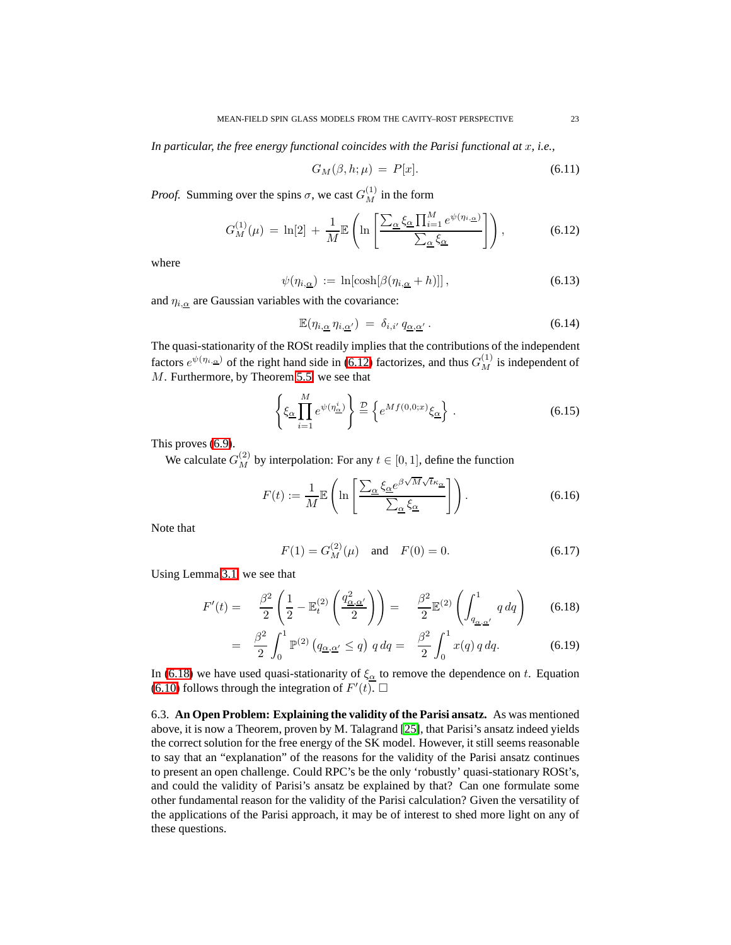*In particular, the free energy functional coincides with the Parisi functional at x, i.e.,* 

<span id="page-22-0"></span>
$$
G_M(\beta, h; \mu) = P[x]. \tag{6.11}
$$

*Proof.* Summing over the spins  $\sigma$ , we cast  $G_M^{(1)}$  in the form

$$
G_M^{(1)}(\mu) = \ln[2] + \frac{1}{M} \mathbb{E} \left( \ln \left[ \frac{\sum_{\underline{\alpha}} \xi_{\underline{\alpha}} \prod_{i=1}^M e^{\psi(\eta_{i,\underline{\alpha}})}}{\sum_{\underline{\alpha}} \xi_{\underline{\alpha}}} \right] \right), \tag{6.12}
$$

where

$$
\psi(\eta_{i,\underline{\alpha}}) := \ln[\cosh[\beta(\eta_{i,\underline{\alpha}} + h)]], \qquad (6.13)
$$

and  $\eta_{i,\alpha}$  are Gaussian variables with the covariance:

$$
\mathbb{E}(\eta_{i,\underline{\alpha}}\,\eta_{i,\underline{\alpha}'}\,)\;=\;\delta_{i,i'}\,q_{\underline{\alpha},\underline{\alpha}'}\,.
$$
\n(6.14)

The quasi-stationarity of the ROSt readily implies that the contributions of the independent factors  $e^{\psi(\eta_{i,\alpha})}$  of the right hand side in [\(6.12\)](#page-22-0) factorizes, and thus  $G_M^{(1)}$  is independent of M. Furthermore, by Theorem [5.5,](#page-19-3) we see that

$$
\left\{\xi_{\underline{\alpha}} \prod_{i=1}^{M} e^{\psi(\eta_{\underline{\alpha}}^{i})}\right\} \stackrel{\mathcal{D}}{=} \left\{ e^{Mf(0,0;x)} \xi_{\underline{\alpha}} \right\} . \tag{6.15}
$$

This proves [\(6.9\)](#page-21-1).

We calculate  $G_M^{(2)}$  by interpolation: For any  $t \in [0, 1]$ , define the function

$$
F(t) := \frac{1}{M} \mathbb{E}\left(\ln\left[\frac{\sum_{\alpha} \xi_{\alpha} e^{\beta \sqrt{M}\sqrt{t}\kappa_{\alpha}}}{\sum_{\alpha} \xi_{\alpha}}\right]\right). \tag{6.16}
$$

Note that

$$
F(1) = G_M^{(2)}(\mu) \quad \text{and} \quad F(0) = 0. \tag{6.17}
$$

<span id="page-22-1"></span>Using Lemma [3.1,](#page-7-2) we see that

$$
F'(t) = \frac{\beta^2}{2} \left( \frac{1}{2} - \mathbb{E}_t^{(2)} \left( \frac{q_{\underline{\alpha}, \underline{\alpha}'}^2}{2} \right) \right) = \frac{\beta^2}{2} \mathbb{E}^{(2)} \left( \int_{q_{\underline{\alpha}, \underline{\alpha}'}}^1 q \, dq \right) \tag{6.18}
$$

$$
= \frac{\beta^2}{2} \int_0^1 \mathbb{P}^{(2)} (q_{\underline{\alpha}, \underline{\alpha}'} \leq q) \, q \, dq = \frac{\beta^2}{2} \int_0^1 x(q) \, q \, dq. \tag{6.19}
$$

In [\(6.18\)](#page-22-1) we have used quasi-stationarity of  $\xi_{\alpha}$  to remove the dependence on t. Equation [\(6.10\)](#page-21-2) follows through the integration of  $F'(t)$ .

6.3. **An Open Problem: Explaining the validity of the Parisi ansatz.** As was mentioned above, it is now a Theorem, proven by M. Talagrand [\[25\]](#page-28-1), that Parisi's ansatz indeed yields the correct solution for the free energy of the SK model. However, it still seems reasonable to say that an "explanation" of the reasons for the validity of the Parisi ansatz continues to present an open challenge. Could RPC's be the only 'robustly' quasi-stationary ROSt's, and could the validity of Parisi's ansatz be explained by that? Can one formulate some other fundamental reason for the validity of the Parisi calculation? Given the versatility of the applications of the Parisi approach, it may be of interest to shed more light on any of these questions.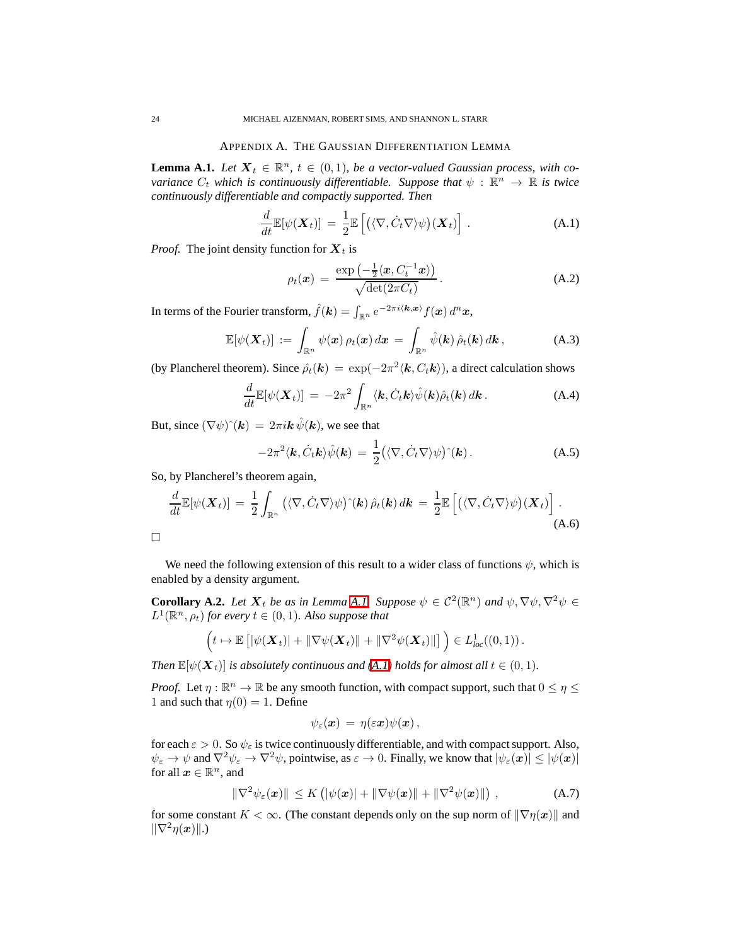# APPENDIX A. THE GAUSSIAN DIFFERENTIATION LEMMA

<span id="page-23-1"></span><span id="page-23-0"></span>**Lemma A.1.** *Let*  $X_t \in \mathbb{R}^n$ ,  $t \in (0,1)$ *, be a vector-valued Gaussian process, with covariance*  $C_t$  *which is continuously differentiable. Suppose that*  $\psi$  :  $\mathbb{R}^n \to \mathbb{R}$  *is twice continuously differentiable and compactly supported. Then*

<span id="page-23-2"></span>
$$
\frac{d}{dt}\mathbb{E}[\psi(\boldsymbol{X}_t)] = \frac{1}{2}\mathbb{E}\left[\left(\langle \nabla, \dot{C}_t \nabla \rangle \psi\right) (\boldsymbol{X}_t)\right].
$$
\n(A.1)

*Proof.* The joint density function for  $X_t$  is

$$
\rho_t(\boldsymbol{x}) = \frac{\exp\left(-\frac{1}{2}\langle \boldsymbol{x}, C_t^{-1}\boldsymbol{x} \rangle\right)}{\sqrt{\det(2\pi C_t)}}.
$$
\n(A.2)

In terms of the Fourier transform,  $\hat{f}(\bm{k}) = \int_{\mathbb{R}^n} e^{-2\pi i \langle \bm{k}, \bm{x} \rangle} f(\bm{x}) d^n \bm{x},$ 

$$
\mathbb{E}[\psi(\boldsymbol{X}_t)] := \int_{\mathbb{R}^n} \psi(\boldsymbol{x}) \, \rho_t(\boldsymbol{x}) \, d\boldsymbol{x} = \int_{\mathbb{R}^n} \hat{\psi}(\boldsymbol{k}) \, \hat{\rho}_t(\boldsymbol{k}) \, d\boldsymbol{k}, \tag{A.3}
$$

(by Plancherel theorem). Since  $\hat{\rho}_t(\mathbf{k}) = \exp(-2\pi^2 \langle \mathbf{k}, C_t \mathbf{k} \rangle)$ , a direct calculation shows

$$
\frac{d}{dt} \mathbb{E}[\psi(\boldsymbol{X}_t)] = -2\pi^2 \int_{\mathbb{R}^n} \langle \boldsymbol{k}, \dot{C}_t \boldsymbol{k} \rangle \hat{\psi}(\boldsymbol{k}) \hat{\rho}_t(\boldsymbol{k}) d\boldsymbol{k} \,.
$$
\n(A.4)

But, since  $(\nabla \psi)^{\hat{}}(\mathbf{k}) = 2\pi i \mathbf{k} \hat{\psi}(\mathbf{k})$ , we see that

$$
-2\pi^2 \langle \mathbf{k}, \dot{C}_t \mathbf{k} \rangle \hat{\psi}(\mathbf{k}) = \frac{1}{2} \big( \langle \nabla, \dot{C}_t \nabla \rangle \psi \big) \hat{}(\mathbf{k}) \,. \tag{A.5}
$$

So, by Plancherel's theorem again,

$$
\frac{d}{dt}\mathbb{E}[\psi(\boldsymbol{X}_t)] = \frac{1}{2}\int_{\mathbb{R}^n} \left( \langle \nabla, \dot{C}_t \nabla \rangle \psi \right) \hat{\rho}_t(\boldsymbol{k}) d\boldsymbol{k} = \frac{1}{2}\mathbb{E}\left[ \left( \langle \nabla, \dot{C}_t \nabla \rangle \psi \right) (\boldsymbol{X}_t) \right].
$$
\n(A.6)

We need the following extension of this result to a wider class of functions  $\psi$ , which is enabled by a density argument.

**Corollary A.2.** *Let*  $X_t$  *be as in Lemma [A.1.](#page-23-1) Suppose*  $\psi \in C^2(\mathbb{R}^n)$  *and*  $\psi, \nabla \psi, \nabla^2 \psi \in C^2(\mathbb{R}^n)$  $L^1(\mathbb{R}^n, \rho_t)$  for every  $t \in (0, 1)$ *. Also suppose that* 

$$
\left(t \mapsto \mathbb{E}\left[|\psi(\boldsymbol{X}_t)| + \|\nabla \psi(\boldsymbol{X}_t)\| + \|\nabla^2 \psi(\boldsymbol{X}_t)\|\right]\right) \in L^1_{loc}((0,1)).
$$

*Then*  $\mathbb{E}[\psi(\boldsymbol{X}_t)]$  *is absolutely continuous and* [\(A.1\)](#page-23-2) *holds for almost all*  $t \in (0,1)$ *.* 

*Proof.* Let  $\eta : \mathbb{R}^n \to \mathbb{R}$  be any smooth function, with compact support, such that  $0 \leq \eta \leq$ 1 and such that  $\eta(0) = 1$ . Define

$$
\psi_\varepsilon(\boldsymbol{x})\,=\,\eta(\varepsilon\boldsymbol{x})\psi(\boldsymbol{x})\,,
$$

<span id="page-23-3"></span>for each  $\varepsilon > 0$ . So  $\psi_{\varepsilon}$  is twice continuously differentiable, and with compact support. Also,  $\psi_{\varepsilon} \to \psi$  and  $\nabla^2 \psi_{\varepsilon} \to \nabla^2 \psi$ , pointwise, as  $\varepsilon \to 0$ . Finally, we know that  $|\psi_{\varepsilon}(x)| \leq |\psi(x)|$ for all  $x \in \mathbb{R}^n$ , and

$$
\|\nabla^2 \psi_{\varepsilon}(\boldsymbol{x})\| \le K \left( |\psi(\boldsymbol{x})| + \|\nabla \psi(\boldsymbol{x})\| + \|\nabla^2 \psi(\boldsymbol{x})\| \right) , \tag{A.7}
$$

for some constant  $K < \infty$ . (The constant depends only on the sup norm of  $\|\nabla \eta(x)\|$  and  $\|\nabla^2 \eta(\boldsymbol{x})\|$ .)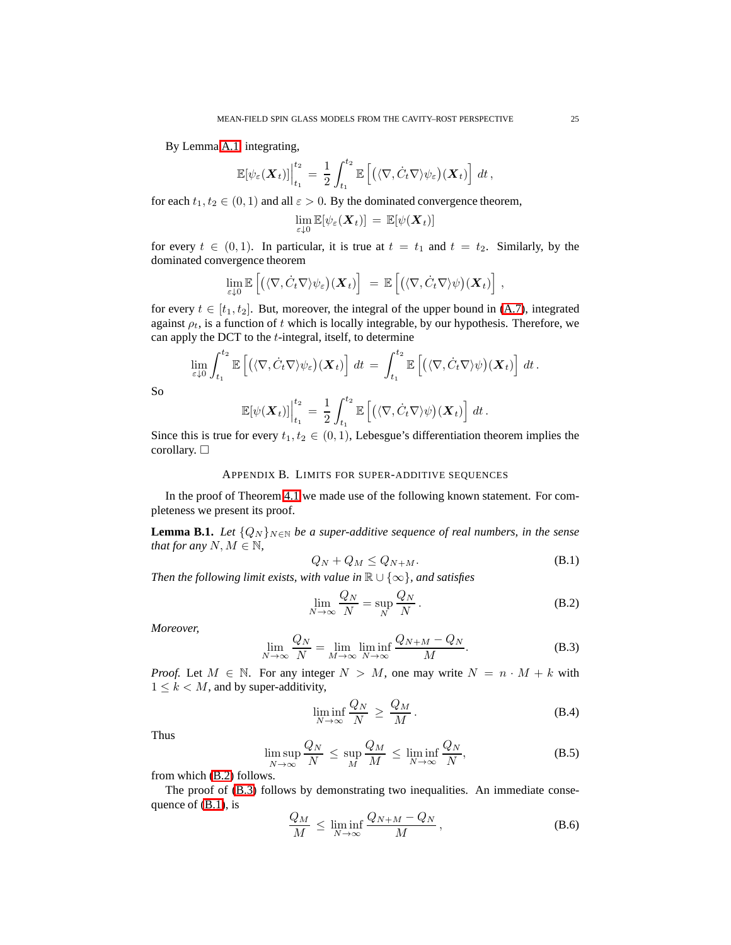By Lemma [A.1,](#page-23-1) integrating,

$$
\mathbb{E}[\psi_{\varepsilon}(\boldsymbol{X}_t)]\Big|_{t_1}^{t_2} = \frac{1}{2} \int_{t_1}^{t_2} \mathbb{E}\left[ \left( \langle \nabla, \dot{C}_t \nabla \rangle \psi_{\varepsilon} \right) (\boldsymbol{X}_t) \right] dt,
$$

for each  $t_1, t_2 \in (0, 1)$  and all  $\varepsilon > 0$ . By the dominated convergence theorem,

$$
\lim_{\varepsilon \downarrow 0} \mathbb{E}[\psi_{\varepsilon}(\boldsymbol{X}_t)] = \mathbb{E}[\psi(\boldsymbol{X}_t)]
$$

for every  $t \in (0,1)$ . In particular, it is true at  $t = t_1$  and  $t = t_2$ . Similarly, by the dominated convergence theorem

$$
\lim_{\varepsilon \downarrow 0} \mathbb{E}\left[ \left( \langle \nabla, C_t \nabla \rangle \psi_{\varepsilon} \right) (\boldsymbol{X}_t) \right] = \mathbb{E}\left[ \left( \langle \nabla, C_t \nabla \rangle \psi \right) (\boldsymbol{X}_t) \right],
$$

for every  $t \in [t_1, t_2]$ . But, moreover, the integral of the upper bound in [\(A.7\)](#page-23-3), integrated against  $\rho_t$ , is a function of t which is locally integrable, by our hypothesis. Therefore, we can apply the DCT to the  $t$ -integral, itself, to determine

$$
\lim_{\varepsilon \downarrow 0} \int_{t_1}^{t_2} \mathbb{E}\left[ \left( \langle \nabla, \dot{C}_t \nabla \rangle \psi_{\varepsilon} \right) (\boldsymbol{X}_t) \right] dt = \int_{t_1}^{t_2} \mathbb{E}\left[ \left( \langle \nabla, \dot{C}_t \nabla \rangle \psi \right) (\boldsymbol{X}_t) \right] dt.
$$

So

$$
\mathbb{E}[\psi(\boldsymbol{X}_t)]\Big|_{t_1}^{t_2} = \frac{1}{2} \int_{t_1}^{t_2} \mathbb{E}\left[\left(\langle \nabla, C_t \nabla \rangle \psi\right)(\boldsymbol{X}_t)\right] dt.
$$

<span id="page-24-0"></span>Since this is true for every  $t_1, t_2 \in (0, 1)$ , Lebesgue's differentiation theorem implies the corollary.  $\square$ 

# APPENDIX B. LIMITS FOR SUPER-ADDITIVE SEQUENCES

<span id="page-24-1"></span>In the proof of Theorem [4.1](#page-11-1) we made use of the following known statement. For completeness we present its proof.

<span id="page-24-4"></span>**Lemma B.1.** *Let*  $\{Q_N\}_{N\in\mathbb{N}}$  *be a super-additive sequence of real numbers, in the sense that for any*  $N, M \in \mathbb{N}$ ,

<span id="page-24-2"></span>
$$
Q_N + Q_M \le Q_{N+M}.\tag{B.1}
$$

*Then the following limit exists, with value in*  $\mathbb{R} \cup \{\infty\}$ *, and satisfies* 

$$
\lim_{N \to \infty} \frac{Q_N}{N} = \sup_N \frac{Q_N}{N} .
$$
\n(B.2)

<span id="page-24-3"></span>*Moreover,*

$$
\lim_{N \to \infty} \frac{Q_N}{N} = \lim_{M \to \infty} \liminf_{N \to \infty} \frac{Q_{N+M} - Q_N}{M}.
$$
 (B.3)

*Proof.* Let  $M \in \mathbb{N}$ . For any integer  $N > M$ , one may write  $N = n \cdot M + k$  with  $1 \leq k < M$ , and by super-additivity,

$$
\liminf_{N \to \infty} \frac{Q_N}{N} \ge \frac{Q_M}{M} \,. \tag{B.4}
$$

Thus

$$
\limsup_{N \to \infty} \frac{Q_N}{N} \le \sup_M \frac{Q_M}{M} \le \liminf_{N \to \infty} \frac{Q_N}{N},
$$
\n(B.5)

from which [\(B.2\)](#page-24-2) follows.

The proof of [\(B.3\)](#page-24-3) follows by demonstrating two inequalities. An immediate consequence of [\(B.1\)](#page-24-4), is

$$
\frac{Q_M}{M} \le \liminf_{N \to \infty} \frac{Q_{N+M} - Q_N}{M},
$$
\n(B.6)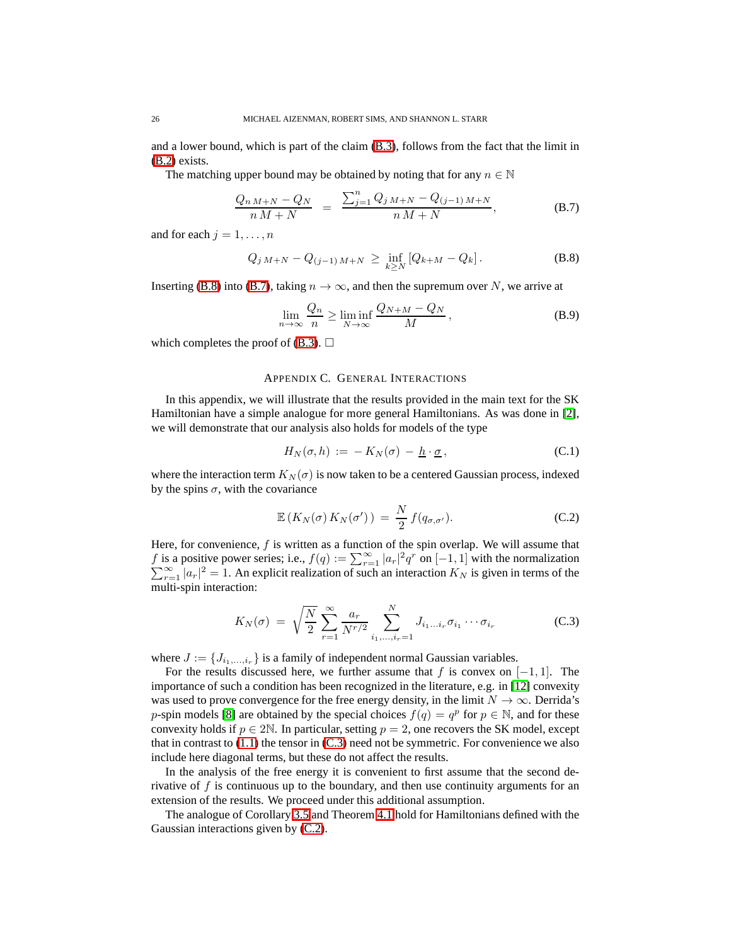and a lower bound, which is part of the claim [\(B.3\)](#page-24-3), follows from the fact that the limit in [\(B.2\)](#page-24-2) exists.

The matching upper bound may be obtained by noting that for any  $n \in \mathbb{N}$ 

<span id="page-25-2"></span>
$$
\frac{Q_{n M+N} - Q_N}{n M+N} = \frac{\sum_{j=1}^{n} Q_j M+N - Q_{(j-1) M+N}}{n M+N},
$$
\n(B.7)

<span id="page-25-1"></span>and for each  $j = 1, \ldots, n$ 

$$
Q_{j\,M+N} - Q_{(j-1)\,M+N} \geq \inf_{k \geq N} \left[ Q_{k+M} - Q_k \right]. \tag{B.8}
$$

Inserting [\(B.8\)](#page-25-1) into [\(B.7\)](#page-25-2), taking  $n \to \infty$ , and then the supremum over N, we arrive at

$$
\lim_{n \to \infty} \frac{Q_n}{n} \ge \liminf_{N \to \infty} \frac{Q_{N+M} - Q_N}{M},
$$
\n(B.9)

<span id="page-25-0"></span>which completes the proof of  $(B.3)$ .  $\Box$ 

### APPENDIX C. GENERAL INTERACTIONS

In this appendix, we will illustrate that the results provided in the main text for the SK Hamiltonian have a simple analogue for more general Hamiltonians. As was done in [\[2\]](#page-27-7), we will demonstrate that our analysis also holds for models of the type

<span id="page-25-5"></span><span id="page-25-4"></span>
$$
H_N(\sigma, h) := -K_N(\sigma) - \underline{h} \cdot \underline{\sigma}, \qquad (C.1)
$$

where the interaction term  $K_N(\sigma)$  is now taken to be a centered Gaussian process, indexed by the spins  $\sigma$ , with the covariance

$$
\mathbb{E}\left(K_N(\sigma)\,K_N(\sigma')\right) = \frac{N}{2}\,f(q_{\sigma,\sigma'}).
$$
\n(C.2)

<span id="page-25-3"></span>Here, for convenience,  $f$  is written as a function of the spin overlap. We will assume that f is a positive power series; i.e.,  $f(q) := \sum_{r=1}^{\infty} |a_r|^2 q^r$  on  $[-1, 1]$  with the normalization  $\sum_{r=1}^{\infty} |a_r|^2 = 1$ . An explicit realization of such an interaction  $K_N$  is given in terms of the multi-spin interaction:

$$
K_N(\sigma) = \sqrt{\frac{N}{2}} \sum_{r=1}^{\infty} \frac{a_r}{N^{r/2}} \sum_{i_1, \dots, i_r=1}^{N} J_{i_1 \dots i_r} \sigma_{i_1} \cdots \sigma_{i_r}
$$
 (C.3)

where  $J := \{J_{i_1,\ldots,i_r}\}\$ is a family of independent normal Gaussian variables.

For the results discussed here, we further assume that f is convex on  $[-1, 1]$ . The importance of such a condition has been recognized in the literature, e.g. in [\[12\]](#page-27-15) convexity was used to prove convergence for the free energy density, in the limit  $N \to \infty$ . Derrida's p-spin models [\[8\]](#page-27-4) are obtained by the special choices  $f(q) = q^p$  for  $p \in \mathbb{N}$ , and for these convexity holds if  $p \in 2\mathbb{N}$ . In particular, setting  $p = 2$ , one recovers the SK model, except that in contrast to  $(1.1)$  the tensor in  $(C.3)$  need not be symmetric. For convenience we also include here diagonal terms, but these do not affect the results.

In the analysis of the free energy it is convenient to first assume that the second derivative of  $f$  is continuous up to the boundary, and then use continuity arguments for an extension of the results. We proceed under this additional assumption.

The analogue of Corollary [3.5](#page-10-0) and Theorem [4.1](#page-11-1) hold for Hamiltonians defined with the Gaussian interactions given by [\(C.2\)](#page-25-4).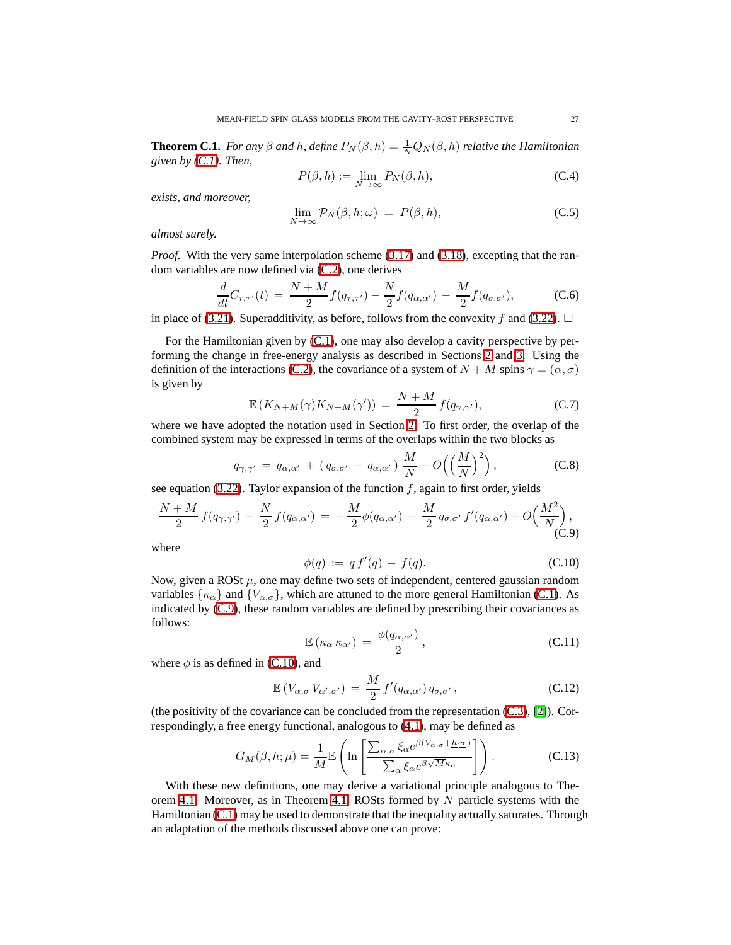**Theorem C.1.** *For any*  $\beta$  *and*  $h$ *, define*  $P_N(\beta, h) = \frac{1}{N} Q_N(\beta, h)$  *relative the Hamiltonian given by [\(C.1\)](#page-25-5). Then,*

$$
P(\beta, h) := \lim_{N \to \infty} P_N(\beta, h), \tag{C.4}
$$

*exists, and moreover,*

$$
\lim_{N \to \infty} \mathcal{P}_N(\beta, h; \omega) = P(\beta, h), \tag{C.5}
$$

*almost surely.*

*Proof.* With the very same interpolation scheme [\(3.17\)](#page-10-4) and [\(3.18\)](#page-10-5), excepting that the random variables are now defined via [\(C.2\)](#page-25-4), one derives

$$
\frac{d}{dt}C_{\tau,\tau'}(t) = \frac{N+M}{2}f(q_{\tau,\tau'}) - \frac{N}{2}f(q_{\alpha,\alpha'}) - \frac{M}{2}f(q_{\sigma,\sigma'}),
$$
\n(C.6)

in place of [\(3.21\)](#page-10-6). Superadditivity, as before, follows from the convexity f and [\(3.22\)](#page-10-7).  $\Box$ 

For the Hamiltonian given by [\(C.1\)](#page-25-5), one may also develop a cavity perspective by performing the change in free-energy analysis as described in Sections [2](#page-4-0) and [3.](#page-7-0) Using the definition of the interactions [\(C.2\)](#page-25-4), the covariance of a system of  $N + M$  spins  $\gamma = (\alpha, \sigma)$ is given by

$$
\mathbb{E}\left(K_{N+M}(\gamma)K_{N+M}(\gamma')\right) = \frac{N+M}{2}f(q_{\gamma,\gamma'}),\tag{C.7}
$$

where we have adopted the notation used in Section [2.](#page-4-0) To first order, the overlap of the combined system may be expressed in terms of the overlaps within the two blocks as

$$
q_{\gamma,\gamma'} = q_{\alpha,\alpha'} + (q_{\sigma,\sigma'} - q_{\alpha,\alpha'}) \frac{M}{N} + O\left(\left(\frac{M}{N}\right)^2\right), \tag{C.8}
$$

see equation [\(3.22\)](#page-10-7). Taylor expansion of the function  $f$ , again to first order, yields

$$
\frac{N+M}{2} f(q_{\gamma,\gamma'}) - \frac{N}{2} f(q_{\alpha,\alpha'}) = -\frac{M}{2} \phi(q_{\alpha,\alpha'}) + \frac{M}{2} q_{\sigma,\sigma'} f'(q_{\alpha,\alpha'}) + O\Big(\frac{M^2}{N}\Big),\tag{C.9}
$$

<span id="page-26-1"></span>where

<span id="page-26-0"></span>
$$
\phi(q) := q f'(q) - f(q). \tag{C.10}
$$

Now, given a ROSt  $\mu$ , one may define two sets of independent, centered gaussian random variables  $\{\kappa_{\alpha}\}\$  and  $\{V_{\alpha,\sigma}\}\$ , which are attuned to the more general Hamiltonian [\(C.1\)](#page-25-5). As indicated by [\(C.9\)](#page-26-0), these random variables are defined by prescribing their covariances as follows:

$$
\mathbb{E}\left(\kappa_{\alpha}\,\kappa_{\alpha'}\right) \,=\, \frac{\phi(q_{\alpha,\alpha'})}{2} \,,\tag{C.11}
$$

where  $\phi$  is as defined in [\(C.10\)](#page-26-1), and

$$
\mathbb{E}\left(V_{\alpha,\sigma}V_{\alpha',\sigma'}\right) = \frac{M}{2}f'(q_{\alpha,\alpha'})q_{\sigma,\sigma'},\tag{C.12}
$$

(the positivity of the covariance can be concluded from the representation  $(C.3)$ , [\[2\]](#page-27-7)). Correspondingly, a free energy functional, analogous to [\(4.1\)](#page-11-6), may be defined as

$$
G_M(\beta, h; \mu) = \frac{1}{M} \mathbb{E} \left( \ln \left[ \frac{\sum_{\alpha, \sigma} \xi_{\alpha} e^{\beta (V_{\alpha, \sigma} + \underline{h} \cdot \underline{\sigma})}}{\sum_{\alpha} \xi_{\alpha} e^{\beta \sqrt{M} \kappa_{\alpha}}} \right] \right).
$$
 (C.13)

With these new definitions, one may derive a variational principle analogous to The-orem [4.1.](#page-11-1) Moreover, as in Theorem [4.1,](#page-11-1) ROSts formed by  $N$  particle systems with the Hamiltonian [\(C.1\)](#page-25-5) may be used to demonstrate that the inequality actually saturates. Through an adaptation of the methods discussed above one can prove: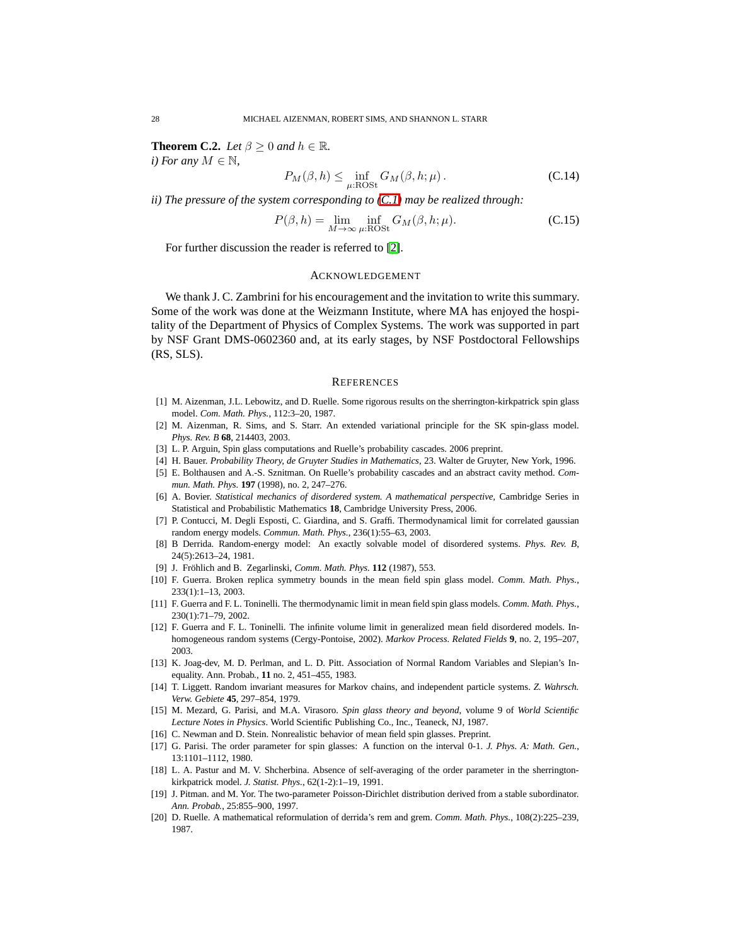**Theorem C.2.** *Let*  $\beta > 0$  *and*  $h \in \mathbb{R}$ *. i*) For any  $M \in \mathbb{N}$ ,

$$
P_M(\beta, h) \le \inf_{\mu: \text{ROSt}} G_M(\beta, h; \mu).
$$
 (C.14)

*ii) The pressure of the system corresponding to [\(C.1\)](#page-25-5) may be realized through:*

$$
P(\beta, h) = \lim_{M \to \infty} \inf_{\mu: \text{ROSt}} G_M(\beta, h; \mu).
$$
 (C.15)

For further discussion the reader is referred to [\[2\]](#page-27-7).

# ACKNOWLEDGEMENT

<span id="page-27-0"></span>We thank J. C. Zambrini for his encouragement and the invitation to write this summary. Some of the work was done at the Weizmann Institute, where MA has enjoyed the hospitality of the Department of Physics of Complex Systems. The work was supported in part by NSF Grant DMS-0602360 and, at its early stages, by NSF Postdoctoral Fellowships (RS, SLS).

#### **REFERENCES**

- <span id="page-27-9"></span><span id="page-27-7"></span><span id="page-27-1"></span>[1] M. Aizenman, J.L. Lebowitz, and D. Ruelle. Some rigorous results on the sherrington-kirkpatrick spin glass model. *Com. Math. Phys.*, 112:3–20, 1987.
- [2] M. Aizenman, R. Sims, and S. Starr. An extended variational principle for the SK spin-glass model. *Phys. Rev. B* **68**, 214403, 2003.
- <span id="page-27-14"></span>[3] L. P. Arguin, Spin glass computations and Ruelle's probability cascades. 2006 preprint.
- [4] H. Bauer. *Probability Theory, de Gruyter Studies in Mathematics*, 23. Walter de Gruyter, New York, 1996.
- [5] E. Bolthausen and A.-S. Sznitman. On Ruelle's probability cascades and an abstract cavity method. *Commun. Math. Phys.* **197** (1998), no. 2, 247–276.
- [6] A. Bovier. *Statistical mechanics of disordered system. A mathematical perspective,* Cambridge Series in Statistical and Probabilistic Mathematics **18**, Cambridge University Press, 2006.
- [7] P. Contucci, M. Degli Esposti, C. Giardina, and S. Graffi. Thermodynamical limit for correlated gaussian random energy models. *Commun. Math. Phys.*, 236(1):55–63, 2003.
- <span id="page-27-4"></span>[8] B Derrida. Random-energy model: An exactly solvable model of disordered systems. *Phys. Rev. B*, 24(5):2613–24, 1981.
- [9] J. Fröhlich and B. Zegarlinski, *Comm. Math. Phys.* **112** (1987), 553.
- <span id="page-27-8"></span>[10] F. Guerra. Broken replica symmetry bounds in the mean field spin glass model. *Comm. Math. Phys.*, 233(1):1–13, 2003.
- <span id="page-27-6"></span>[11] F. Guerra and F. L. Toninelli. The thermodynamic limit in mean field spin glass models. *Comm. Math. Phys.*, 230(1):71–79, 2002.
- <span id="page-27-15"></span>[12] F. Guerra and F. L. Toninelli. The infinite volume limit in generalized mean field disordered models. Inhomogeneous random systems (Cergy-Pontoise, 2002). *Markov Process. Related Fields* **9**, no. 2, 195–207, 2003.
- <span id="page-27-10"></span>[13] K. Joag-dev, M. D. Perlman, and L. D. Pitt. Association of Normal Random Variables and Slepian's Inequality. Ann. Probab., **11** no. 2, 451–455, 1983.
- <span id="page-27-13"></span>[14] T. Liggett. Random invariant measures for Markov chains, and independent particle systems. *Z. Wahrsch. Verw. Gebiete* **45**, 297–854, 1979.
- <span id="page-27-3"></span>[15] M. Mezard, G. Parisi, and M.A. Virasoro. *Spin glass theory and beyond*, volume 9 of *World Scientific Lecture Notes in Physics*. World Scientific Publishing Co., Inc., Teaneck, NJ, 1987.
- <span id="page-27-2"></span>[16] C. Newman and D. Stein. Nonrealistic behavior of mean field spin glasses. Preprint.
- [17] G. Parisi. The order parameter for spin glasses: A function on the interval 0-1. *J. Phys. A: Math. Gen.*, 13:1101–1112, 1980.
- <span id="page-27-11"></span>[18] L. A. Pastur and M. V. Shcherbina. Absence of self-averaging of the order parameter in the sherringtonkirkpatrick model. *J. Statist. Phys.*, 62(1-2):1–19, 1991.
- <span id="page-27-12"></span>[19] J. Pitman. and M. Yor. The two-parameter Poisson-Dirichlet distribution derived from a stable subordinator. *Ann. Probab.*, 25:855–900, 1997.
- <span id="page-27-5"></span>[20] D. Ruelle. A mathematical reformulation of derrida's rem and grem. *Comm. Math. Phys.*, 108(2):225–239, 1987.